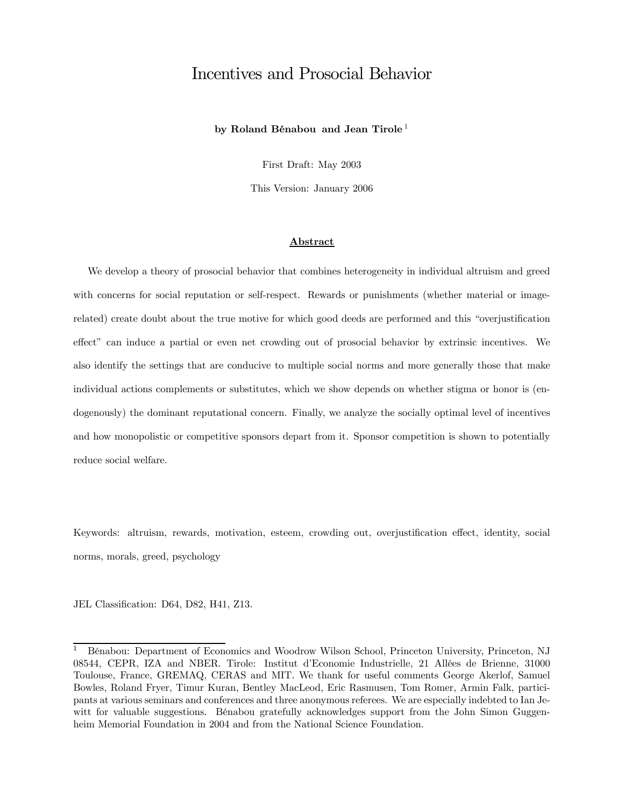# Incentives and Prosocial Behavior

### by Roland Bénabou and Jean Tirole<sup>1</sup>

First Draft: May 2003

This Version: January 2006

#### **Abstract**

We develop a theory of prosocial behavior that combines heterogeneity in individual altruism and greed with concerns for social reputation or self-respect. Rewards or punishments (whether material or imagerelated) create doubt about the true motive for which good deeds are performed and this "overjustification effect" can induce a partial or even net crowding out of prosocial behavior by extrinsic incentives. We also identify the settings that are conducive to multiple social norms and more generally those that make individual actions complements or substitutes, which we show depends on whether stigma or honor is (endogenously) the dominant reputational concern. Finally, we analyze the socially optimal level of incentives and how monopolistic or competitive sponsors depart from it. Sponsor competition is shown to potentially reduce social welfare.

Keywords: altruism, rewards, motivation, esteem, crowding out, overjustification effect, identity, social norms, morals, greed, psychology

JEL Classification: D64, D82, H41, Z13.

<sup>&</sup>lt;sup>1</sup> Bénabou: Department of Economics and Woodrow Wilson School, Princeton University, Princeton, NJ 08544, CEPR, IZA and NBER. Tirole: Institut d'Economie Industrielle, 21 Allées de Brienne, 31000 Toulouse, France, GREMAQ, CERAS and MIT. We thank for useful comments George Akerlof, Samuel Bowles, Roland Fryer, Timur Kuran, Bentley MacLeod, Eric Rasmusen, Tom Romer, Armin Falk, participants at various seminars and conferences and three anonymous referees. We are especially indebted to Ian Jewitt for valuable suggestions. Bénabou gratefully acknowledges support from the John Simon Guggenheim Memorial Foundation in 2004 and from the National Science Foundation.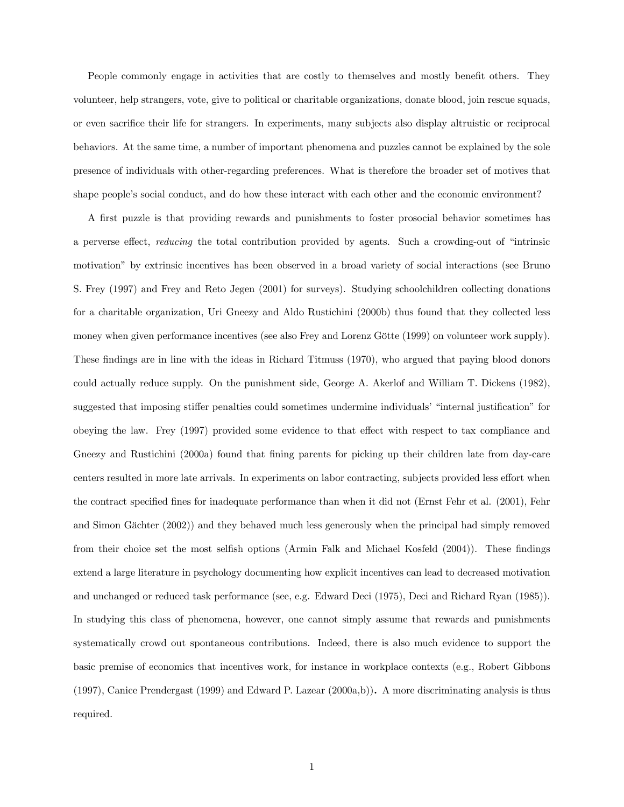People commonly engage in activities that are costly to themselves and mostly benefit others. They volunteer, help strangers, vote, give to political or charitable organizations, donate blood, join rescue squads, or even sacrifice their life for strangers. In experiments, many subjects also display altruistic or reciprocal behaviors. At the same time, a number of important phenomena and puzzles cannot be explained by the sole presence of individuals with other-regarding preferences. What is therefore the broader set of motives that shape people's social conduct, and do how these interact with each other and the economic environment?

A first puzzle is that providing rewards and punishments to foster prosocial behavior sometimes has a perverse effect, reducing the total contribution provided by agents. Such a crowding-out of "intrinsic motivation" by extrinsic incentives has been observed in a broad variety of social interactions (see Bruno S. Frey (1997) and Frey and Reto Jegen (2001) for surveys). Studying schoolchildren collecting donations for a charitable organization, Uri Gneezy and Aldo Rustichini (2000b) thus found that they collected less money when given performance incentives (see also Frey and Lorenz Götte (1999) on volunteer work supply). These findings are in line with the ideas in Richard Titmuss (1970), who argued that paying blood donors could actually reduce supply. On the punishment side, George A. Akerlof and William T. Dickens (1982), suggested that imposing stiffer penalties could sometimes undermine individuals' "internal justification" for obeying the law. Frey (1997) provided some evidence to that effect with respect to tax compliance and Gneezy and Rustichini (2000a) found that fining parents for picking up their children late from day-care centers resulted in more late arrivals. In experiments on labor contracting, subjects provided less effort when the contract specified fines for inadequate performance than when it did not (Ernst Fehr et al. (2001), Fehr and Simon Gächter (2002)) and they behaved much less generously when the principal had simply removed from their choice set the most selfish options (Armin Falk and Michael Kosfeld (2004)). These findings extend a large literature in psychology documenting how explicit incentives can lead to decreased motivation and unchanged or reduced task performance (see, e.g. Edward Deci (1975), Deci and Richard Ryan (1985)). In studying this class of phenomena, however, one cannot simply assume that rewards and punishments systematically crowd out spontaneous contributions. Indeed, there is also much evidence to support the basic premise of economics that incentives work, for instance in workplace contexts (e.g., Robert Gibbons (1997), Canice Prendergast (1999) and Edward P. Lazear (2000a,b)). A more discriminating analysis is thus required.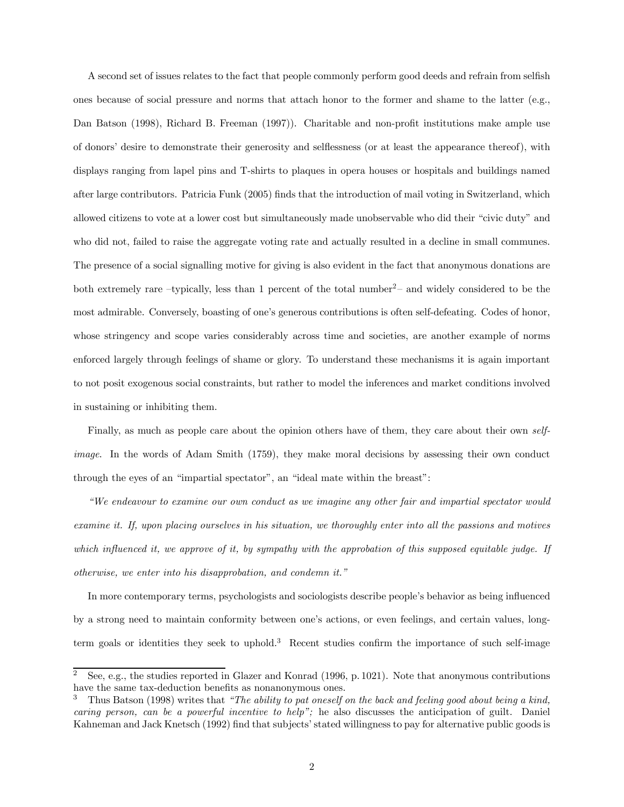A second set of issues relates to the fact that people commonly perform good deeds and refrain from selfish ones because of social pressure and norms that attach honor to the former and shame to the latter (e.g., Dan Batson (1998), Richard B. Freeman (1997)). Charitable and non-profit institutions make ample use of donors' desire to demonstrate their generosity and selflessness (or at least the appearance thereof), with displays ranging from lapel pins and T-shirts to plaques in opera houses or hospitals and buildings named after large contributors. Patricia Funk (2005) finds that the introduction of mail voting in Switzerland, which allowed citizens to vote at a lower cost but simultaneously made unobservable who did their "civic duty" and who did not, failed to raise the aggregate voting rate and actually resulted in a decline in small communes. The presence of a social signalling motive for giving is also evident in the fact that anonymous donations are both extremely rare –typically, less than 1 percent of the total number $2-$  and widely considered to be the most admirable. Conversely, boasting of one's generous contributions is often self-defeating. Codes of honor, whose stringency and scope varies considerably across time and societies, are another example of norms enforced largely through feelings of shame or glory. To understand these mechanisms it is again important to not posit exogenous social constraints, but rather to model the inferences and market conditions involved in sustaining or inhibiting them.

Finally, as much as people care about the opinion others have of them, they care about their own selfimage. In the words of Adam Smith (1759), they make moral decisions by assessing their own conduct through the eyes of an "impartial spectator", an "ideal mate within the breast":

"We endeavour to examine our own conduct as we imagine any other fair and impartial spectator would examine it. If, upon placing ourselves in his situation, we thoroughly enter into all the passions and motives which influenced it, we approve of it, by sympathy with the approbation of this supposed equitable judge. If otherwise, we enter into his disapprobation, and condemn it."

In more contemporary terms, psychologists and sociologists describe people's behavior as being influenced by a strong need to maintain conformity between one's actions, or even feelings, and certain values, longterm goals or identities they seek to uphold.<sup>3</sup> Recent studies confirm the importance of such self-image

 $2^{\circ}$  See, e.g., the studies reported in Glazer and Konrad (1996, p. 1021). Note that anonymous contributions have the same tax-deduction benefits as nonanonymous ones.

Thus Batson (1998) writes that "The ability to pat oneself on the back and feeling good about being a kind, caring person, can be a powerful incentive to help"; he also discusses the anticipation of guilt. Daniel Kahneman and Jack Knetsch (1992) find that subjects' stated willingness to pay for alternative public goods is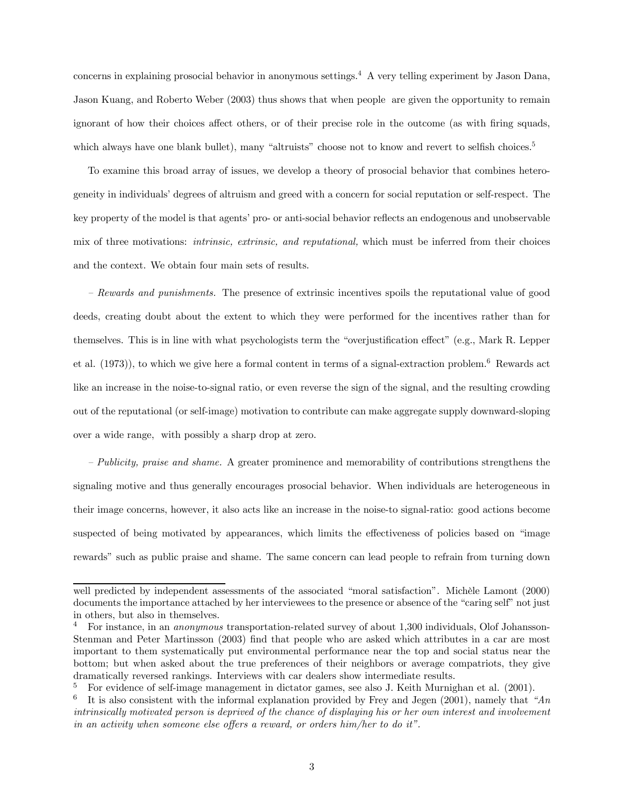concerns in explaining prosocial behavior in anonymous settings.4 A very telling experiment by Jason Dana, Jason Kuang, and Roberto Weber (2003) thus shows that when people are given the opportunity to remain ignorant of how their choices affect others, or of their precise role in the outcome (as with firing squads, which always have one blank bullet), many "altruists" choose not to know and revert to selfish choices.<sup>5</sup>

To examine this broad array of issues, we develop a theory of prosocial behavior that combines heterogeneity in individuals' degrees of altruism and greed with a concern for social reputation or self-respect. The key property of the model is that agents' pro- or anti-social behavior reflects an endogenous and unobservable mix of three motivations: intrinsic, extrinsic, and reputational, which must be inferred from their choices and the context. We obtain four main sets of results.

— Rewards and punishments. The presence of extrinsic incentives spoils the reputational value of good deeds, creating doubt about the extent to which they were performed for the incentives rather than for themselves. This is in line with what psychologists term the "overjustification effect" (e.g., Mark R. Lepper et al. (1973)), to which we give here a formal content in terms of a signal-extraction problem.6 Rewards act like an increase in the noise-to-signal ratio, or even reverse the sign of the signal, and the resulting crowding out of the reputational (or self-image) motivation to contribute can make aggregate supply downward-sloping over a wide range, with possibly a sharp drop at zero.

 $-Publicity$ , praise and shame. A greater prominence and memorability of contributions strengthens the signaling motive and thus generally encourages prosocial behavior. When individuals are heterogeneous in their image concerns, however, it also acts like an increase in the noise-to signal-ratio: good actions become suspected of being motivated by appearances, which limits the effectiveness of policies based on "image rewards" such as public praise and shame. The same concern can lead people to refrain from turning down

well predicted by independent assessments of the associated "moral satisfaction". Michèle Lamont (2000) documents the importance attached by her interviewees to the presence or absence of the "caring self" not just in others, but also in themselves.

<sup>&</sup>lt;sup>4</sup> For instance, in an *anonymous* transportation-related survey of about 1,300 individuals, Olof Johansson-Stenman and Peter Martinsson (2003) find that people who are asked which attributes in a car are most important to them systematically put environmental performance near the top and social status near the bottom; but when asked about the true preferences of their neighbors or average compatriots, they give dramatically reversed rankings. Interviews with car dealers show intermediate results.

<sup>&</sup>lt;sup>5</sup> For evidence of self-image management in dictator games, see also J. Keith Murnighan et al. (2001).<br><sup>6</sup> It is also consistent with the informal explanation provided by Frey and Jegen (2001), namely that '

It is also consistent with the informal explanation provided by Frey and Jegen (2001), namely that "An intrinsically motivated person is deprived of the chance of displaying his or her own interest and involvement in an activity when someone else offers a reward, or orders him/her to do it".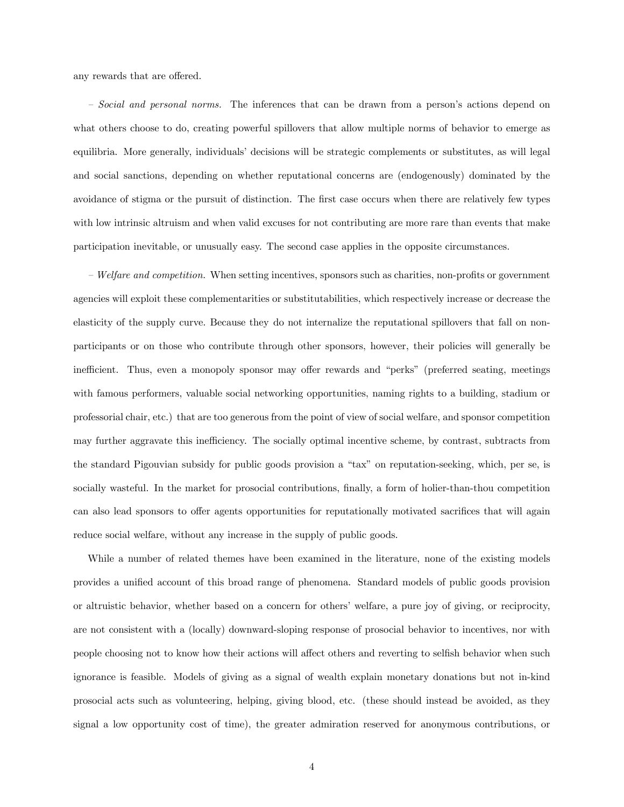any rewards that are offered.

— Social and personal norms. The inferences that can be drawn from a person's actions depend on what others choose to do, creating powerful spillovers that allow multiple norms of behavior to emerge as equilibria. More generally, individuals' decisions will be strategic complements or substitutes, as will legal and social sanctions, depending on whether reputational concerns are (endogenously) dominated by the avoidance of stigma or the pursuit of distinction. The first case occurs when there are relatively few types with low intrinsic altruism and when valid excuses for not contributing are more rare than events that make participation inevitable, or unusually easy. The second case applies in the opposite circumstances.

— Welfare and competition. When setting incentives, sponsors such as charities, non-profits or government agencies will exploit these complementarities or substitutabilities, which respectively increase or decrease the elasticity of the supply curve. Because they do not internalize the reputational spillovers that fall on nonparticipants or on those who contribute through other sponsors, however, their policies will generally be inefficient. Thus, even a monopoly sponsor may offer rewards and "perks" (preferred seating, meetings with famous performers, valuable social networking opportunities, naming rights to a building, stadium or professorial chair, etc.) that are too generous from the point of view of social welfare, and sponsor competition may further aggravate this inefficiency. The socially optimal incentive scheme, by contrast, subtracts from the standard Pigouvian subsidy for public goods provision a "tax" on reputation-seeking, which, per se, is socially wasteful. In the market for prosocial contributions, finally, a form of holier-than-thou competition can also lead sponsors to offer agents opportunities for reputationally motivated sacrifices that will again reduce social welfare, without any increase in the supply of public goods.

While a number of related themes have been examined in the literature, none of the existing models provides a unified account of this broad range of phenomena. Standard models of public goods provision or altruistic behavior, whether based on a concern for others' welfare, a pure joy of giving, or reciprocity, are not consistent with a (locally) downward-sloping response of prosocial behavior to incentives, nor with people choosing not to know how their actions will affect others and reverting to selfish behavior when such ignorance is feasible. Models of giving as a signal of wealth explain monetary donations but not in-kind prosocial acts such as volunteering, helping, giving blood, etc. (these should instead be avoided, as they signal a low opportunity cost of time), the greater admiration reserved for anonymous contributions, or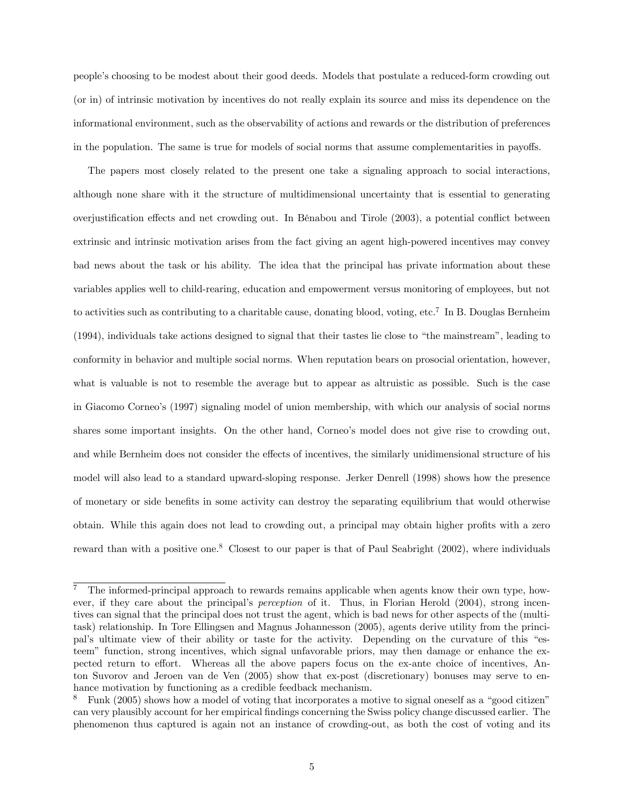people's choosing to be modest about their good deeds. Models that postulate a reduced-form crowding out (or in) of intrinsic motivation by incentives do not really explain its source and miss its dependence on the informational environment, such as the observability of actions and rewards or the distribution of preferences in the population. The same is true for models of social norms that assume complementarities in payoffs.

The papers most closely related to the present one take a signaling approach to social interactions, although none share with it the structure of multidimensional uncertainty that is essential to generating overjustification effects and net crowding out. In Bénabou and Tirole (2003), a potential conflict between extrinsic and intrinsic motivation arises from the fact giving an agent high-powered incentives may convey bad news about the task or his ability. The idea that the principal has private information about these variables applies well to child-rearing, education and empowerment versus monitoring of employees, but not to activities such as contributing to a charitable cause, donating blood, voting, etc.7 In B. Douglas Bernheim (1994), individuals take actions designed to signal that their tastes lie close to "the mainstream", leading to conformity in behavior and multiple social norms. When reputation bears on prosocial orientation, however, what is valuable is not to resemble the average but to appear as altruistic as possible. Such is the case in Giacomo Corneo's (1997) signaling model of union membership, with which our analysis of social norms shares some important insights. On the other hand, Corneo's model does not give rise to crowding out, and while Bernheim does not consider the effects of incentives, the similarly unidimensional structure of his model will also lead to a standard upward-sloping response. Jerker Denrell (1998) shows how the presence of monetary or side benefits in some activity can destroy the separating equilibrium that would otherwise obtain. While this again does not lead to crowding out, a principal may obtain higher profits with a zero reward than with a positive one.<sup>8</sup> Closest to our paper is that of Paul Seabright (2002), where individuals

 $7$  The informed-principal approach to rewards remains applicable when agents know their own type, however, if they care about the principal's *perception* of it. Thus, in Florian Herold (2004), strong incentives can signal that the principal does not trust the agent, which is bad news for other aspects of the (multitask) relationship. In Tore Ellingsen and Magnus Johannesson (2005), agents derive utility from the principal's ultimate view of their ability or taste for the activity. Depending on the curvature of this "esteem" function, strong incentives, which signal unfavorable priors, may then damage or enhance the expected return to effort. Whereas all the above papers focus on the ex-ante choice of incentives, Anton Suvorov and Jeroen van de Ven (2005) show that ex-post (discretionary) bonuses may serve to enhance motivation by functioning as a credible feedback mechanism.

<sup>8</sup> Funk (2005) shows how a model of voting that incorporates a motive to signal oneself as a "good citizen" can very plausibly account for her empirical findings concerning the Swiss policy change discussed earlier. The phenomenon thus captured is again not an instance of crowding-out, as both the cost of voting and its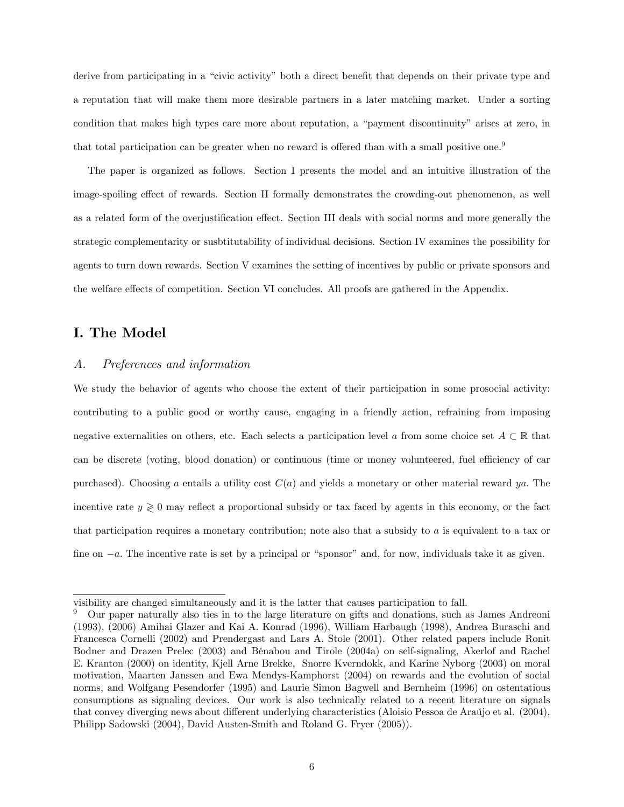derive from participating in a "civic activity" both a direct benefit that depends on their private type and a reputation that will make them more desirable partners in a later matching market. Under a sorting condition that makes high types care more about reputation, a "payment discontinuity" arises at zero, in that total participation can be greater when no reward is offered than with a small positive one.<sup>9</sup>

The paper is organized as follows. Section I presents the model and an intuitive illustration of the image-spoiling effect of rewards. Section II formally demonstrates the crowding-out phenomenon, as well as a related form of the overjustification effect. Section III deals with social norms and more generally the strategic complementarity or susbtitutability of individual decisions. Section IV examines the possibility for agents to turn down rewards. Section V examines the setting of incentives by public or private sponsors and the welfare effects of competition. Section VI concludes. All proofs are gathered in the Appendix.

# I. The Model

### A. Preferences and information

We study the behavior of agents who choose the extent of their participation in some prosocial activity: contributing to a public good or worthy cause, engaging in a friendly action, refraining from imposing negative externalities on others, etc. Each selects a participation level a from some choice set  $A \subset \mathbb{R}$  that can be discrete (voting, blood donation) or continuous (time or money volunteered, fuel efficiency of car purchased). Choosing a entails a utility cost  $C(a)$  and yields a monetary or other material reward ya. The incentive rate  $y \ge 0$  may reflect a proportional subsidy or tax faced by agents in this economy, or the fact that participation requires a monetary contribution; note also that a subsidy to  $a$  is equivalent to a tax or fine on −a. The incentive rate is set by a principal or "sponsor" and, for now, individuals take it as given.

visibility are changed simultaneously and it is the latter that causes participation to fall.

<sup>&</sup>lt;sup>9</sup> Our paper naturally also ties in to the large literature on gifts and donations, such as James Andreoni (1993), (2006) Amihai Glazer and Kai A. Konrad (1996), William Harbaugh (1998), Andrea Buraschi and Francesca Cornelli (2002) and Prendergast and Lars A. Stole (2001). Other related papers include Ronit Bodner and Drazen Prelec (2003) and Bénabou and Tirole (2004a) on self-signaling, Akerlof and Rachel E. Kranton (2000) on identity, Kjell Arne Brekke, Snorre Kverndokk, and Karine Nyborg (2003) on moral motivation, Maarten Janssen and Ewa Mendys-Kamphorst (2004) on rewards and the evolution of social norms, and Wolfgang Pesendorfer (1995) and Laurie Simon Bagwell and Bernheim (1996) on ostentatious consumptions as signaling devices. Our work is also technically related to a recent literature on signals that convey diverging news about different underlying characteristics (Aloisio Pessoa de Araújo et al. (2004), Philipp Sadowski (2004), David Austen-Smith and Roland G. Fryer (2005)).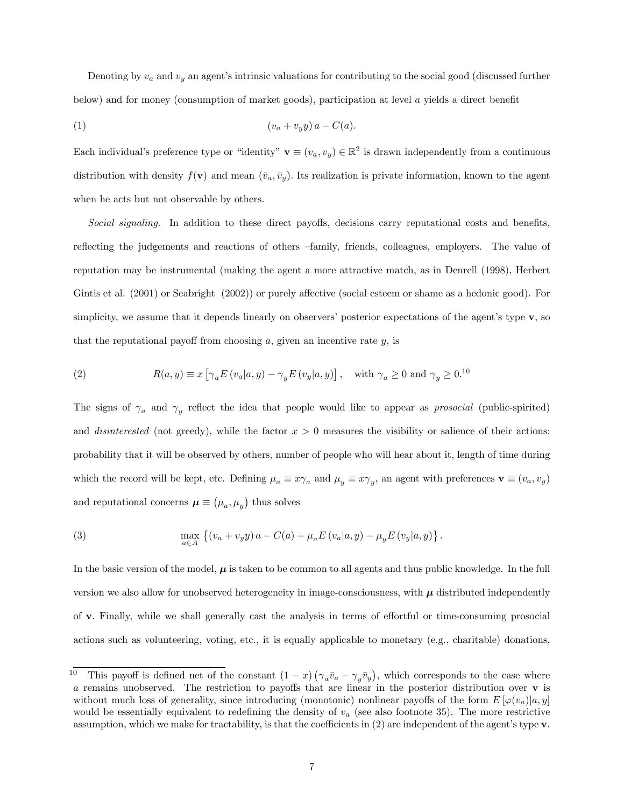Denoting by  $v_a$  and  $v_y$  an agent's intrinsic valuations for contributing to the social good (discussed further below) and for money (consumption of market goods), participation at level a yields a direct benefit

(1) (v<sup>a</sup> + vyy) a − C(a).

Each individual's preference type or "identity"  $\mathbf{v} \equiv (v_a, v_y) \in \mathbb{R}^2$  is drawn independently from a continuous distribution with density  $f(\mathbf{v})$  and mean  $(\bar{v}_a, \bar{v}_y)$ . Its realization is private information, known to the agent when he acts but not observable by others.

Social signaling. In addition to these direct payoffs, decisions carry reputational costs and benefits, reflecting the judgements and reactions of others —family, friends, colleagues, employers. The value of reputation may be instrumental (making the agent a more attractive match, as in Denrell (1998), Herbert Gintis et al. (2001) or Seabright (2002)) or purely affective (social esteem or shame as a hedonic good). For simplicity, we assume that it depends linearly on observers' posterior expectations of the agent's type  $v$ , so that the reputational payoff from choosing  $a$ , given an incentive rate  $y$ , is

(2) 
$$
R(a,y) \equiv x \left[ \gamma_a E(v_a|a,y) - \gamma_y E(v_y|a,y) \right], \text{ with } \gamma_a \ge 0 \text{ and } \gamma_y \ge 0.10
$$

The signs of  $\gamma_a$  and  $\gamma_y$  reflect the idea that people would like to appear as *prosocial* (public-spirited) and *disinterested* (not greedy), while the factor  $x > 0$  measures the visibility or salience of their actions: probability that it will be observed by others, number of people who will hear about it, length of time during which the record will be kept, etc. Defining  $\mu_a \equiv x\gamma_a$  and  $\mu_y \equiv x\gamma_y$ , an agent with preferences  $\mathbf{v} \equiv (v_a, v_y)$ and reputational concerns  $\boldsymbol{\mu} \equiv (\mu_a, \mu_y)$  thus solves

(3) 
$$
\max_{a \in A} \left\{ (v_a + v_y y) a - C(a) + \mu_a E(v_a | a, y) - \mu_y E(v_y | a, y) \right\}.
$$

In the basic version of the model,  $\mu$  is taken to be common to all agents and thus public knowledge. In the full version we also allow for unobserved heterogeneity in image-consciousness, with  $\mu$  distributed independently of v. Finally, while we shall generally cast the analysis in terms of effortful or time-consuming prosocial actions such as volunteering, voting, etc., it is equally applicable to monetary (e.g., charitable) donations,

<sup>&</sup>lt;sup>10</sup> This payoff is defined net of the constant  $(1-x)(\gamma_a\bar{v}_a-\gamma_y\bar{v}_y)$ , which corresponds to the case where a remains unobserved. The restriction to payoffs that are linear in the posterior distribution over v is without much loss of generality, since introducing (monotonic) nonlinear payoffs of the form  $E[\varphi(v_a)|a, y]$ would be essentially equivalent to redefining the density of  $v_a$  (see also footnote 35). The more restrictive assumption, which we make for tractability, is that the coefficients in (2) are independent of the agent's type v.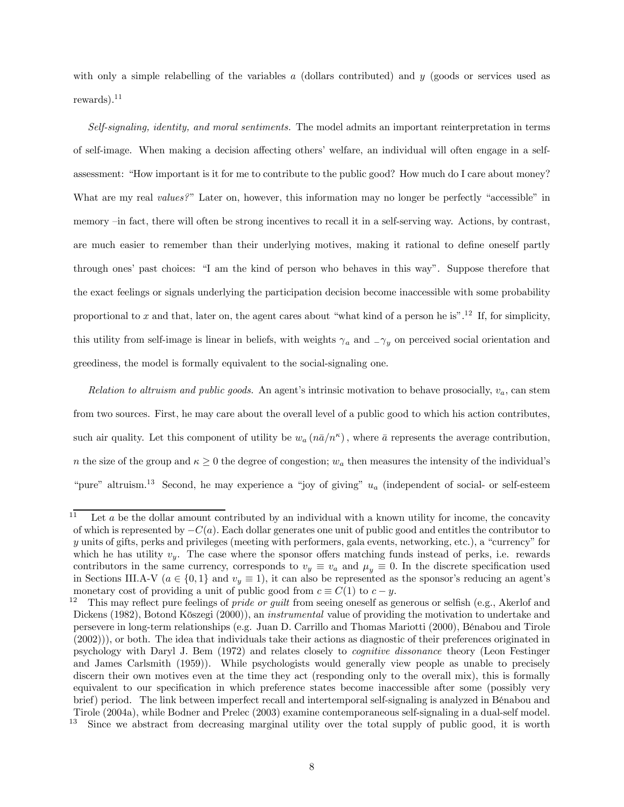with only a simple relabelling of the variables a (dollars contributed) and y (goods or services used as  $rewards$ ).<sup>11</sup>

Self-signaling, identity, and moral sentiments. The model admits an important reinterpretation in terms of self-image. When making a decision affecting others' welfare, an individual will often engage in a selfassessment: "How important is it for me to contribute to the public good? How much do I care about money? What are my real values?" Later on, however, this information may no longer be perfectly "accessible" in memory —in fact, there will often be strong incentives to recall it in a self-serving way. Actions, by contrast, are much easier to remember than their underlying motives, making it rational to define oneself partly through ones' past choices: "I am the kind of person who behaves in this way". Suppose therefore that the exact feelings or signals underlying the participation decision become inaccessible with some probability proportional to x and that, later on, the agent cares about "what kind of a person he is".<sup>12</sup> If, for simplicity, this utility from self-image is linear in beliefs, with weights  $\gamma_a$  and  $-\gamma_y$  on perceived social orientation and greediness, the model is formally equivalent to the social-signaling one.

Relation to altruism and public goods. An agent's intrinsic motivation to behave prosocially,  $v_a$ , can stem from two sources. First, he may care about the overall level of a public good to which his action contributes, such air quality. Let this component of utility be  $w_a$  ( $n\bar{a}/n^{\kappa}$ ), where  $\bar{a}$  represents the average contribution, n the size of the group and  $\kappa \geq 0$  the degree of congestion;  $w_a$  then measures the intensity of the individual's "pure" altruism.<sup>13</sup> Second, he may experience a "joy of giving"  $u_a$  (independent of social- or self-esteem

<sup>&</sup>lt;sup>11</sup> Let a be the dollar amount contributed by an individual with a known utility for income, the concavity of which is represented by  $-C(a)$ . Each dollar generates one unit of public good and entitles the contributor to y units of gifts, perks and privileges (meeting with performers, gala events, networking, etc.), a "currency" for which he has utility  $v_y$ . The case where the sponsor offers matching funds instead of perks, i.e. rewards contributors in the same currency, corresponds to  $v_y \equiv v_a$  and  $\mu_y \equiv 0$ . In the discrete specification used in Sections III.A-V ( $a \in \{0,1\}$  and  $v_y \equiv 1$ ), it can also be represented as the sponsor's reducing an agent's monetary cost of providing a unit of public good from  $c \equiv C(1)$  to  $c - y$ .<br><sup>12</sup> This may reflect pure feelings of *pride or quilt* from seeing oneself as go

This may reflect pure feelings of *pride or guilt* from seeing oneself as generous or selfish (e.g., Akerlof and Dickens (1982), Botond Köszegi (2000)), an *instrumental* value of providing the motivation to undertake and persevere in long-term relationships (e.g. Juan D. Carrillo and Thomas Mariotti (2000), Bénabou and Tirole (2002))), or both. The idea that individuals take their actions as diagnostic of their preferences originated in psychology with Daryl J. Bem (1972) and relates closely to cognitive dissonance theory (Leon Festinger and James Carlsmith (1959)). While psychologists would generally view people as unable to precisely discern their own motives even at the time they act (responding only to the overall mix), this is formally equivalent to our specification in which preference states become inaccessible after some (possibly very brief) period. The link between imperfect recall and intertemporal self-signaling is analyzed in Bénabou and Tirole (2004a), while Bodner and Prelec (2003) examine contemporaneous self-signaling in a dual-self model. <sup>13</sup> Since we abstract from decreasing marginal utility over the total supply of public good, it is worth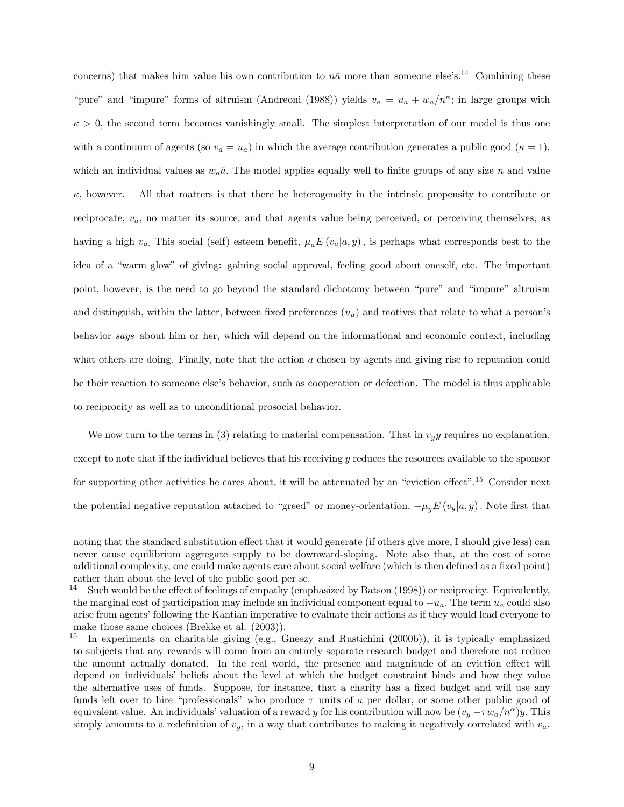concerns) that makes him value his own contribution to  $n\bar{a}$  more than someone else's.<sup>14</sup> Combining these "pure" and "impure" forms of altruism (Andreoni (1988)) yields  $v_a = u_a + w_a/n^{\kappa}$ ; in large groups with  $\kappa > 0$ , the second term becomes vanishingly small. The simplest interpretation of our model is thus one with a continuum of agents (so  $v_a = u_a$ ) in which the average contribution generates a public good ( $\kappa = 1$ ), which an individual values as  $w_a\bar{a}$ . The model applies equally well to finite groups of any size n and value  $\kappa$ , however. All that matters is that there be heterogeneity in the intrinsic propensity to contribute or reciprocate,  $v_a$ , no matter its source, and that agents value being perceived, or perceiving themselves, as having a high  $v_a$ . This social (self) esteem benefit,  $\mu_a E(v_a|a, y)$ , is perhaps what corresponds best to the idea of a "warm glow" of giving: gaining social approval, feeling good about oneself, etc. The important point, however, is the need to go beyond the standard dichotomy between "pure" and "impure" altruism and distinguish, within the latter, between fixed preferences  $(u_a)$  and motives that relate to what a person's behavior says about him or her, which will depend on the informational and economic context, including what others are doing. Finally, note that the action a chosen by agents and giving rise to reputation could be their reaction to someone else's behavior, such as cooperation or defection. The model is thus applicable to reciprocity as well as to unconditional prosocial behavior.

We now turn to the terms in (3) relating to material compensation. That in  $v_y y$  requires no explanation, except to note that if the individual believes that his receiving y reduces the resources available to the sponsor for supporting other activities he cares about, it will be attenuated by an "eviction effect".15 Consider next the potential negative reputation attached to "greed" or money-orientation,  $-\mu_y E(v_y|a, y)$ . Note first that

noting that the standard substitution effect that it would generate (if others give more, I should give less) can never cause equilibrium aggregate supply to be downward-sloping. Note also that, at the cost of some additional complexity, one could make agents care about social welfare (which is then defined as a fixed point) rather than about the level of the public good per se.<br><sup>14</sup> Such would be the effect of feelings of empathy (emp

<sup>14</sup> Such would be the effect of feelings of empathy (emphasized by Batson (1998)) or reciprocity. Equivalently, the marginal cost of participation may include an individual component equal to  $-u_a$ . The term  $u_a$  could also arise from agents' following the Kantian imperative to evaluate their actions as if they would lead everyone to make those same choices (Brekke et al. (2003)).

<sup>&</sup>lt;sup>15</sup> In experiments on charitable giving (e.g., Gneezy and Rustichini (2000b)), it is typically emphasized to subjects that any rewards will come from an entirely separate research budget and therefore not reduce the amount actually donated. In the real world, the presence and magnitude of an eviction effect will depend on individuals' beliefs about the level at which the budget constraint binds and how they value the alternative uses of funds. Suppose, for instance, that a charity has a fixed budget and will use any funds left over to hire "professionals" who produce  $\tau$  units of a per dollar, or some other public good of equivalent value. An individuals' valuation of a reward y for his contribution will now be  $(v_y - \tau w_a/n^{\alpha})y$ . This simply amounts to a redefinition of  $v_y$ , in a way that contributes to making it negatively correlated with  $v_a$ .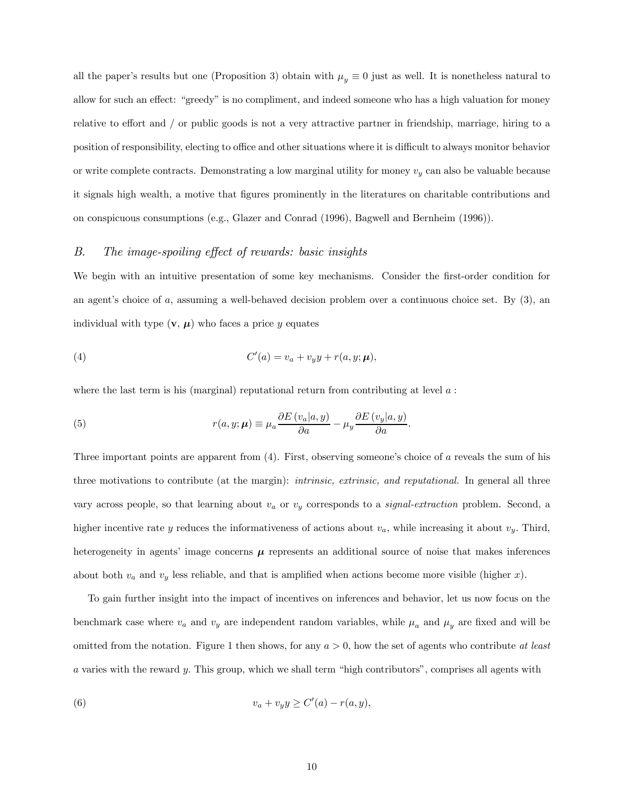all the paper's results but one (Proposition 3) obtain with  $\mu_y \equiv 0$  just as well. It is nonetheless natural to allow for such an effect: "greedy" is no compliment, and indeed someone who has a high valuation for money relative to effort and / or public goods is not a very attractive partner in friendship, marriage, hiring to a position of responsibility, electing to office and other situations where it is difficult to always monitor behavior or write complete contracts. Demonstrating a low marginal utility for money  $v_y$  can also be valuable because it signals high wealth, a motive that figures prominently in the literatures on charitable contributions and on conspicuous consumptions (e.g., Glazer and Conrad (1996), Bagwell and Bernheim (1996)).

### B. The image-spoiling effect of rewards: basic insights

We begin with an intuitive presentation of some key mechanisms. Consider the first-order condition for an agent's choice of a, assuming a well-behaved decision problem over a continuous choice set. By (3), an individual with type  $(v, \mu)$  who faces a price y equates

$$
(4) \tC'(a) = v_a + v_y y + r(a, y; \mu),
$$

where the last term is his (marginal) reputational return from contributing at level  $a$ :

(5) 
$$
r(a, y; \mu) \equiv \mu_a \frac{\partial E(v_a|a, y)}{\partial a} - \mu_y \frac{\partial E(v_y|a, y)}{\partial a}.
$$

Three important points are apparent from (4). First, observing someone's choice of a reveals the sum of his three motivations to contribute (at the margin): *intrinsic, extrinsic, and reputational*. In general all three vary across people, so that learning about  $v_a$  or  $v_y$  corresponds to a *signal-extraction* problem. Second, a higher incentive rate y reduces the informativeness of actions about  $v_a$ , while increasing it about  $v_y$ . Third, heterogeneity in agents' image concerns  $\mu$  represents an additional source of noise that makes inferences about both  $v_a$  and  $v_y$  less reliable, and that is amplified when actions become more visible (higher x).

To gain further insight into the impact of incentives on inferences and behavior, let us now focus on the benchmark case where  $v_a$  and  $v_y$  are independent random variables, while  $\mu_a$  and  $\mu_y$  are fixed and will be omitted from the notation. Figure 1 then shows, for any  $a > 0$ , how the set of agents who contribute at least a varies with the reward y. This group, which we shall term "high contributors", comprises all agents with

(6) 
$$
v_a + v_y y \ge C'(a) - r(a, y),
$$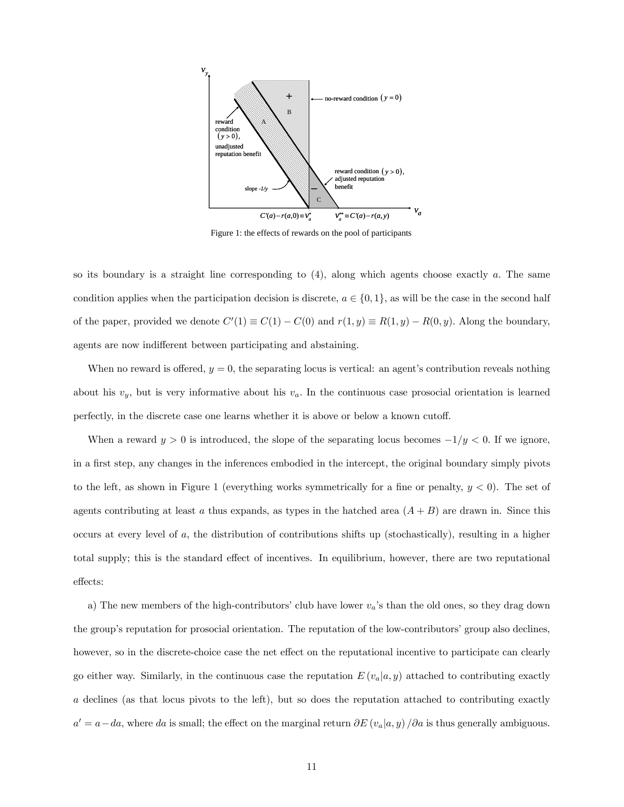

Figure 1: the effects of rewards on the pool of participants

so its boundary is a straight line corresponding to  $(4)$ , along which agents choose exactly a. The same condition applies when the participation decision is discrete,  $a \in \{0, 1\}$ , as will be the case in the second half of the paper, provided we denote  $C'(1) \equiv C(1) - C(0)$  and  $r(1, y) \equiv R(1, y) - R(0, y)$ . Along the boundary, agents are now indifferent between participating and abstaining.

When no reward is offered,  $y = 0$ , the separating locus is vertical: an agent's contribution reveals nothing about his  $v_y$ , but is very informative about his  $v_a$ . In the continuous case prosocial orientation is learned perfectly, in the discrete case one learns whether it is above or below a known cutoff.

When a reward  $y > 0$  is introduced, the slope of the separating locus becomes  $-1/y < 0$ . If we ignore, in a first step, any changes in the inferences embodied in the intercept, the original boundary simply pivots to the left, as shown in Figure 1 (everything works symmetrically for a fine or penalty,  $y < 0$ ). The set of agents contributing at least a thus expands, as types in the hatched area  $(A + B)$  are drawn in. Since this occurs at every level of a, the distribution of contributions shifts up (stochastically), resulting in a higher total supply; this is the standard effect of incentives. In equilibrium, however, there are two reputational effects:

a) The new members of the high-contributors' club have lower  $v_a$ 's than the old ones, so they drag down the group's reputation for prosocial orientation. The reputation of the low-contributors' group also declines, however, so in the discrete-choice case the net effect on the reputational incentive to participate can clearly go either way. Similarly, in the continuous case the reputation  $E(v_a|a, y)$  attached to contributing exactly a declines (as that locus pivots to the left), but so does the reputation attached to contributing exactly  $a' = a - da$ , where da is small; the effect on the marginal return  $\partial E (v_a | a, y) / \partial a$  is thus generally ambiguous.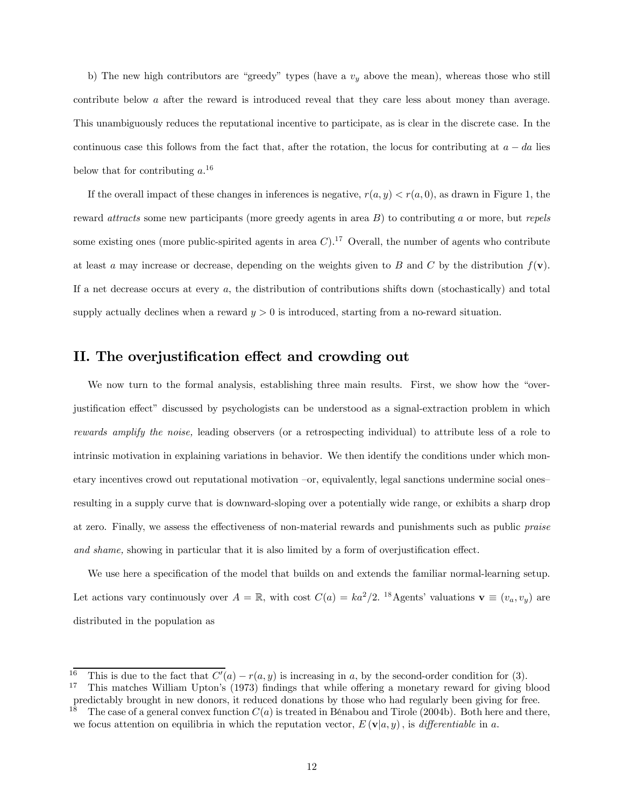b) The new high contributors are "greedy" types (have a  $v_y$  above the mean), whereas those who still contribute below a after the reward is introduced reveal that they care less about money than average. This unambiguously reduces the reputational incentive to participate, as is clear in the discrete case. In the continuous case this follows from the fact that, after the rotation, the locus for contributing at  $a - da$  lies below that for contributing  $a^{16}$ 

If the overall impact of these changes in inferences is negative,  $r(a, y) < r(a, 0)$ , as drawn in Figure 1, the reward *attracts* some new participants (more greedy agents in area  $B$ ) to contributing  $a$  or more, but *repels* some existing ones (more public-spirited agents in area  $C$ ).<sup>17</sup> Overall, the number of agents who contribute at least a may increase or decrease, depending on the weights given to B and C by the distribution  $f(\mathbf{v})$ . If a net decrease occurs at every a, the distribution of contributions shifts down (stochastically) and total supply actually declines when a reward  $y > 0$  is introduced, starting from a no-reward situation.

# II. The overjustification effect and crowding out

We now turn to the formal analysis, establishing three main results. First, we show how the "overjustification effect" discussed by psychologists can be understood as a signal-extraction problem in which rewards amplify the noise, leading observers (or a retrospecting individual) to attribute less of a role to intrinsic motivation in explaining variations in behavior. We then identify the conditions under which monetary incentives crowd out reputational motivation —or, equivalently, legal sanctions undermine social ones resulting in a supply curve that is downward-sloping over a potentially wide range, or exhibits a sharp drop at zero. Finally, we assess the effectiveness of non-material rewards and punishments such as public praise and shame, showing in particular that it is also limited by a form of overjustification effect.

We use here a specification of the model that builds on and extends the familiar normal-learning setup. Let actions vary continuously over  $A = \mathbb{R}$ , with cost  $C(a) = ka^2/2$ . <sup>18</sup>Agents' valuations  $\mathbf{v} \equiv (v_a, v_y)$  are distributed in the population as

<sup>&</sup>lt;sup>16</sup> This is due to the fact that  $C'(a) - r(a, y)$  is increasing in a, by the second-order condition for (3). <sup>17</sup> This matches William Upton's (1973) findings that while offering a monetary reward for giving blood predictably brought in new donors, it reduced donations by those who had regularly been giving for free.

The case of a general convex function  $C(a)$  is treated in Bénabou and Tirole (2004b). Both here and there, we focus attention on equilibria in which the reputation vector,  $E(\mathbf{v}|a, y)$ , is differentiable in a.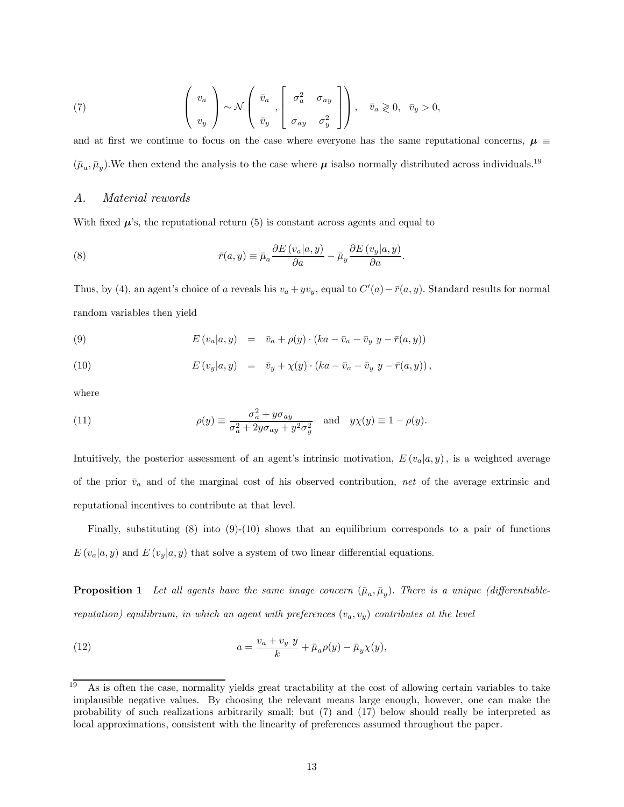(7) 
$$
\begin{pmatrix} v_a \\ v_y \end{pmatrix} \sim \mathcal{N} \begin{pmatrix} \bar{v}_a \\ \bar{v}_y \end{pmatrix} \begin{pmatrix} \sigma_a^2 & \sigma_{ay} \\ \sigma_{ay} & \sigma_y^2 \end{pmatrix}, \quad \bar{v}_a \geq 0, \quad \bar{v}_y > 0,
$$

and at first we continue to focus on the case where everyone has the same reputational concerns,  $\mu \equiv$  $(\bar{\mu}_a, \bar{\mu}_y)$ . We then extend the analysis to the case where  $\mu$  isalso normally distributed across individuals.<sup>19</sup>

#### A. Material rewards

With fixed  $\mu$ 's, the reputational return (5) is constant across agents and equal to

(8) 
$$
\bar{r}(a, y) \equiv \bar{\mu}_a \frac{\partial E(v_a|a, y)}{\partial a} - \bar{\mu}_y \frac{\partial E(v_y|a, y)}{\partial a}.
$$

Thus, by (4), an agent's choice of a reveals his  $v_a + yv_y$ , equal to  $C'(a) - \bar{r}(a, y)$ . Standard results for normal random variables then yield

(9) 
$$
E(v_a|a,y) = \bar{v}_a + \rho(y) \cdot (ka - \bar{v}_a - \bar{v}_y y - \bar{r}(a,y))
$$

(10) 
$$
E(v_y|a,y) = \overline{v}_y + \chi(y) \cdot (ka - \overline{v}_a - \overline{v}_y y - \overline{r}(a,y)),
$$

where

(11) 
$$
\rho(y) \equiv \frac{\sigma_a^2 + y \sigma_{ay}}{\sigma_a^2 + 2y \sigma_{ay} + y^2 \sigma_y^2} \quad \text{and} \quad y\chi(y) \equiv 1 - \rho(y).
$$

Intuitively, the posterior assessment of an agent's intrinsic motivation,  $E(v_a|a, y)$ , is a weighted average of the prior  $\bar{v}_a$  and of the marginal cost of his observed contribution, net of the average extrinsic and reputational incentives to contribute at that level.

Finally, substituting  $(8)$  into  $(9)-(10)$  shows that an equilibrium corresponds to a pair of functions  $E(v_a|a, y)$  and  $E(v_y|a, y)$  that solve a system of two linear differential equations.

**Proposition 1** Let all agents have the same image concern  $(\bar{\mu}_a, \bar{\mu}_y)$ . There is a unique (differentiablereputation) equilibrium, in which an agent with preferences  $(v_a, v_y)$  contributes at the level

(12) 
$$
a = \frac{v_a + v_y y}{k} + \bar{\mu}_a \rho(y) - \bar{\mu}_y \chi(y),
$$

<sup>19</sup> As is often the case, normality yields great tractability at the cost of allowing certain variables to take implausible negative values. By choosing the relevant means large enough, however, one can make the probability of such realizations arbitrarily small; but (7) and (17) below should really be interpreted as local approximations, consistent with the linearity of preferences assumed throughout the paper.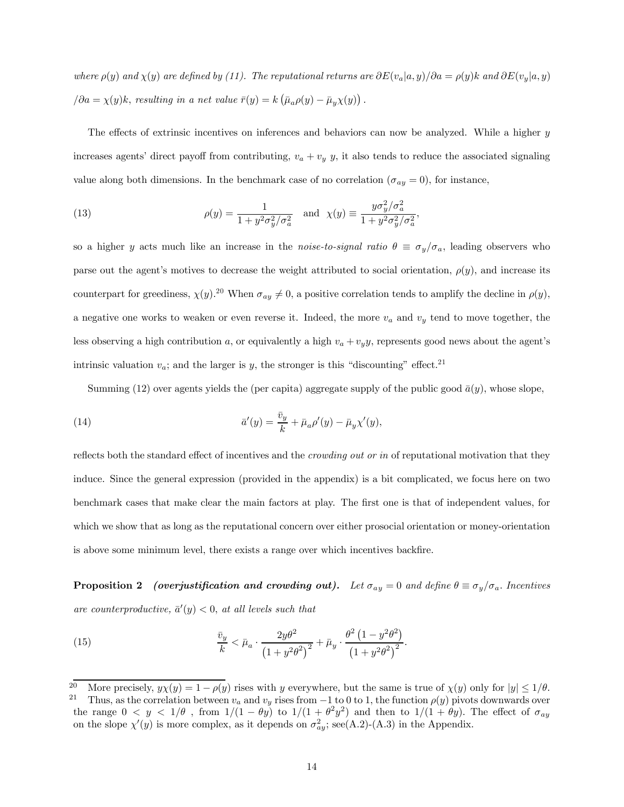where  $\rho(y)$  and  $\chi(y)$  are defined by (11). The reputational returns are  $\partial E(v_a|a, y)/\partial a = \rho(y)k$  and  $\partial E(v_y|a, y)$  $\sqrt{\partial a} = \chi(y)k$ , resulting in a net value  $\bar{r}(y) = k(\bar{\mu}_a \rho(y) - \bar{\mu}_y \chi(y))$ .

The effects of extrinsic incentives on inferences and behaviors can now be analyzed. While a higher y increases agents' direct payoff from contributing,  $v_a + v_y y$ , it also tends to reduce the associated signaling value along both dimensions. In the benchmark case of no correlation ( $\sigma_{ay} = 0$ ), for instance,

(13) 
$$
\rho(y) = \frac{1}{1 + y^2 \sigma_y^2 / \sigma_a^2} \text{ and } \chi(y) \equiv \frac{y \sigma_y^2 / \sigma_a^2}{1 + y^2 \sigma_y^2 / \sigma_a^2},
$$

so a higher y acts much like an increase in the *noise-to-signal ratio*  $\theta \equiv \sigma_y/\sigma_a$ , leading observers who parse out the agent's motives to decrease the weight attributed to social orientation,  $\rho(y)$ , and increase its counterpart for greediness,  $\chi(y)$ .<sup>20</sup> When  $\sigma_{ay} \neq 0$ , a positive correlation tends to amplify the decline in  $\rho(y)$ , a negative one works to weaken or even reverse it. Indeed, the more  $v_a$  and  $v_y$  tend to move together, the less observing a high contribution a, or equivalently a high  $v_a + v_y y$ , represents good news about the agent's intrinsic valuation  $v_a$ ; and the larger is y, the stronger is this "discounting" effect.<sup>21</sup>

Summing (12) over agents yields the (per capita) aggregate supply of the public good  $\bar{a}(y)$ , whose slope,

(14) 
$$
\bar{a}'(y) = \frac{\bar{v}_y}{k} + \bar{\mu}_a \rho'(y) - \bar{\mu}_y \chi'(y),
$$

reflects both the standard effect of incentives and the *crowding out or in* of reputational motivation that they induce. Since the general expression (provided in the appendix) is a bit complicated, we focus here on two benchmark cases that make clear the main factors at play. The first one is that of independent values, for which we show that as long as the reputational concern over either prosocial orientation or money-orientation is above some minimum level, there exists a range over which incentives backfire.

**Proposition 2** (overjustification and crowding out). Let  $\sigma_{ay} = 0$  and define  $\theta \equiv \sigma_y/\sigma_a$ . Incentives are counterproductive,  $\bar{a}'(y) < 0$ , at all levels such that

(15) 
$$
\frac{\bar{v}_y}{k} < \bar{\mu}_a \cdot \frac{2y\theta^2}{(1+y^2\theta^2)^2} + \bar{\mu}_y \cdot \frac{\theta^2 (1-y^2\theta^2)}{(1+y^2\theta^2)^2}.
$$

<sup>20</sup> More precisely,  $y\chi(y)=1-\rho(y)$  rises with y everywhere, but the same is true of  $\chi(y)$  only for  $|y| \le 1/\theta$ .<br>21 Thus, as the correlation between  $y_c$  and  $y_c$  rises from  $-1$  to 0 to 1, the function  $\rho(y)$  pivots downwar

Thus, as the correlation between  $v_a$  and  $v_y$  rises from  $-1$  to 0 to 1, the function  $\rho(y)$  pivots downwards over the range  $0 < y < 1/\theta$ , from  $1/(1 - \theta y)$  to  $1/(1 + \theta^2 y^2)$  and then to  $1/(1 + \theta y)$ . The effect of  $\sigma_{ay}$ on the slope  $\chi'(y)$  is more complex, as it depends on  $\sigma_{ay}^2$ ; see(A.2)-(A.3) in the Appendix.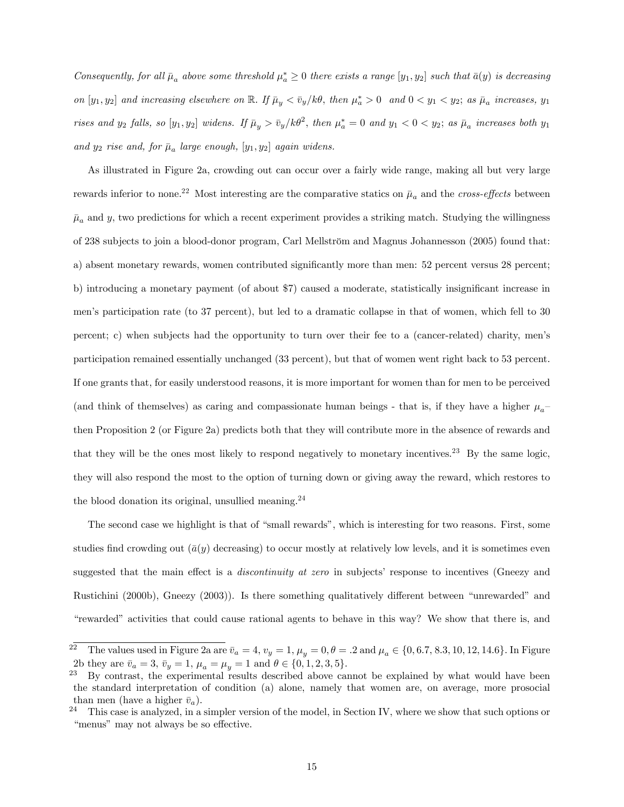Consequently, for all  $\bar{\mu}_a$  above some threshold  $\mu_a^* \geq 0$  there exists a range  $[y_1, y_2]$  such that  $\bar{a}(y)$  is decreasing on  $[y_1, y_2]$  and increasing elsewhere on  $\mathbb{R}$ . If  $\bar{\mu}_y < \bar{v}_y/k\theta$ , then  $\mu_a^* > 0$  and  $0 < y_1 < y_2$ ; as  $\bar{\mu}_a$  increases,  $y_1$ rises and  $y_2$  falls, so  $[y_1, y_2]$  widens. If  $\bar{\mu}_y > \bar{v}_y / k\theta^2$ , then  $\mu_a^* = 0$  and  $y_1 < 0 < y_2$ ; as  $\bar{\mu}_a$  increases both  $y_1$ and  $y_2$  rise and, for  $\bar{\mu}_a$  large enough,  $[y_1, y_2]$  again widens.

As illustrated in Figure 2a, crowding out can occur over a fairly wide range, making all but very large rewards inferior to none.<sup>22</sup> Most interesting are the comparative statics on  $\bar{\mu}_a$  and the *cross-effects* between  $\bar{\mu}_a$  and y, two predictions for which a recent experiment provides a striking match. Studying the willingness of 238 subjects to join a blood-donor program, Carl Mellström and Magnus Johannesson (2005) found that: a) absent monetary rewards, women contributed significantly more than men: 52 percent versus 28 percent; b) introducing a monetary payment (of about \$7) caused a moderate, statistically insignificant increase in men's participation rate (to 37 percent), but led to a dramatic collapse in that of women, which fell to 30 percent; c) when subjects had the opportunity to turn over their fee to a (cancer-related) charity, men's participation remained essentially unchanged (33 percent), but that of women went right back to 53 percent. If one grants that, for easily understood reasons, it is more important for women than for men to be perceived (and think of themselves) as caring and compassionate human beings - that is, if they have a higher  $\mu_a$ then Proposition 2 (or Figure 2a) predicts both that they will contribute more in the absence of rewards and that they will be the ones most likely to respond negatively to monetary incentives.<sup>23</sup> By the same logic, they will also respond the most to the option of turning down or giving away the reward, which restores to the blood donation its original, unsullied meaning. $^{24}$ 

The second case we highlight is that of "small rewards", which is interesting for two reasons. First, some studies find crowding out  $(\bar{a}(y))$  decreasing) to occur mostly at relatively low levels, and it is sometimes even suggested that the main effect is a *discontinuity at zero* in subjects' response to incentives (Gneezy and Rustichini (2000b), Gneezy (2003)). Is there something qualitatively different between "unrewarded" and "rewarded" activities that could cause rational agents to behave in this way? We show that there is, and

<sup>&</sup>lt;sup>22</sup> The values used in Figure 2a are  $\bar{v}_a = 4$ ,  $v_y = 1$ ,  $\mu_y = 0$ ,  $\theta = .2$  and  $\mu_a \in \{0, 6.7, 8.3, 10, 12, 14.6\}$ . In Figure 2b they are  $\bar{v}_a = 3$ ,  $\bar{v}_y = 1$ ,  $\mu_a = \mu_y = 1$  and  $\theta \in \{0, 1, 2, 3, 5\}$ .

 $23$  By contrast, the experimental results described above cannot be explained by what would have been the standard interpretation of condition (a) alone, namely that women are, on average, more prosocial than men (have a higher  $\bar{v}_a$ ).<br><sup>24</sup> This case is analyzed, in a simpler version of the model, in Section IV, where we show that such options or

<sup>&</sup>quot;menus" may not always be so effective.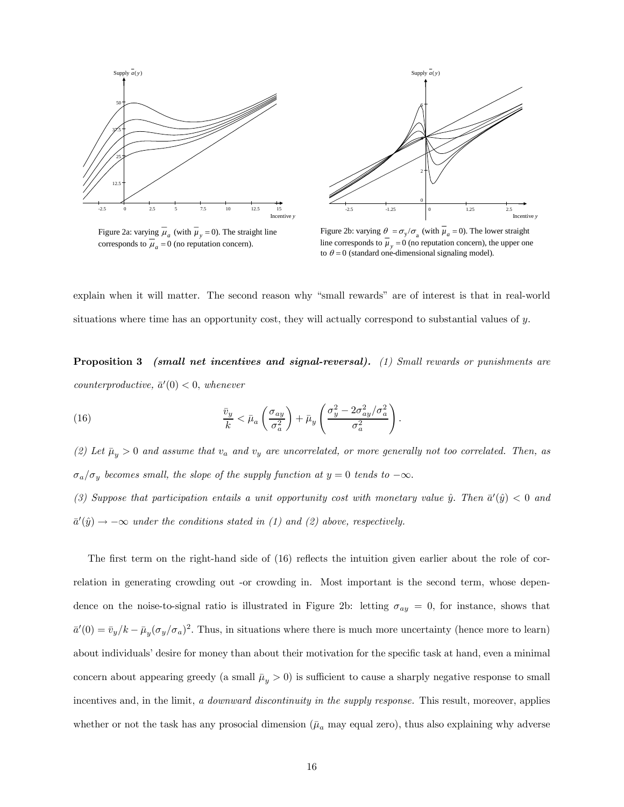

Figure 2a: varying  $\mu_a$  (with  $\mu_y = 0$ ). The straight line corresponds to  $\mu_a = 0$  (no reputation concern).



Figure 2b: varying  $\theta = \sigma_y / \sigma_a$  (with  $\mu_a = 0$ ). The lower straight line corresponds to  $\mu_y = 0$  (no reputation concern), the upper one to  $\theta = 0$  (standard one-dimensional signaling model).

explain when it will matter. The second reason why "small rewards" are of interest is that in real-world situations where time has an opportunity cost, they will actually correspond to substantial values of y.

Proposition 3 (small net incentives and signal-reversal). (1) Small rewards or punishments are *counterproductive*,  $\bar{a}'(0) < 0$ , *whenever* 

(16) 
$$
\frac{\bar{v}_y}{k} < \bar{\mu}_a \left( \frac{\sigma_{ay}}{\sigma_a^2} \right) + \bar{\mu}_y \left( \frac{\sigma_y^2 - 2\sigma_{ay}^2/\sigma_a^2}{\sigma_a^2} \right).
$$

(2) Let  $\bar{\mu}_y > 0$  and assume that  $v_a$  and  $v_y$  are uncorrelated, or more generally not too correlated. Then, as  $\sigma_a/\sigma_y$  becomes small, the slope of the supply function at  $y = 0$  tends to  $-\infty$ .

(3) Suppose that participation entails a unit opportunity cost with monetary value  $\hat{y}$ . Then  $\bar{a}'(\hat{y}) < 0$  and  $\bar{a}'(\hat{y}) \rightarrow -\infty$  under the conditions stated in (1) and (2) above, respectively.

The first term on the right-hand side of (16) reflects the intuition given earlier about the role of correlation in generating crowding out -or crowding in. Most important is the second term, whose dependence on the noise-to-signal ratio is illustrated in Figure 2b: letting  $\sigma_{ay} = 0$ , for instance, shows that  $\bar{a}'(0) = \bar{v}_y/k - \bar{\mu}_y(\sigma_y/\sigma_a)^2$ . Thus, in situations where there is much more uncertainty (hence more to learn) about individuals' desire for money than about their motivation for the specific task at hand, even a minimal concern about appearing greedy (a small  $\bar{\mu}_y > 0$ ) is sufficient to cause a sharply negative response to small incentives and, in the limit, a *downward discontinuity in the supply response*. This result, moreover, applies whether or not the task has any prosocial dimension  $(\bar{\mu}_a$  may equal zero), thus also explaining why adverse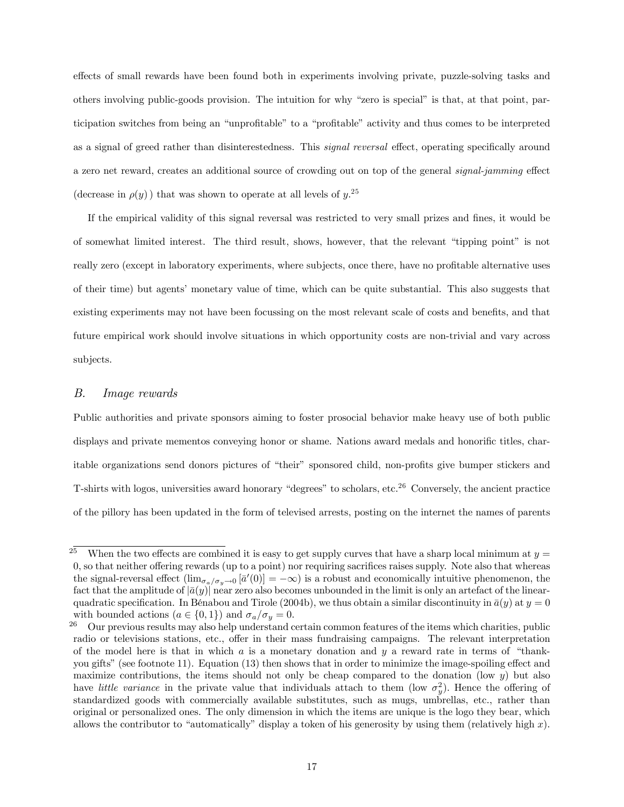effects of small rewards have been found both in experiments involving private, puzzle-solving tasks and others involving public-goods provision. The intuition for why "zero is special" is that, at that point, participation switches from being an "unprofitable" to a "profitable" activity and thus comes to be interpreted as a signal of greed rather than disinterestedness. This signal reversal effect, operating specifically around a zero net reward, creates an additional source of crowding out on top of the general signal-jamming effect (decrease in  $\rho(y)$ ) that was shown to operate at all levels of  $y$ <sup>25</sup>.

If the empirical validity of this signal reversal was restricted to very small prizes and fines, it would be of somewhat limited interest. The third result, shows, however, that the relevant "tipping point" is not really zero (except in laboratory experiments, where subjects, once there, have no profitable alternative uses of their time) but agents' monetary value of time, which can be quite substantial. This also suggests that existing experiments may not have been focussing on the most relevant scale of costs and benefits, and that future empirical work should involve situations in which opportunity costs are non-trivial and vary across subjects.

### B. Image rewards

Public authorities and private sponsors aiming to foster prosocial behavior make heavy use of both public displays and private mementos conveying honor or shame. Nations award medals and honorific titles, charitable organizations send donors pictures of "their" sponsored child, non-profits give bumper stickers and T-shirts with logos, universities award honorary "degrees" to scholars, etc.<sup>26</sup> Conversely, the ancient practice of the pillory has been updated in the form of televised arrests, posting on the internet the names of parents

<sup>&</sup>lt;sup>25</sup> When the two effects are combined it is easy to get supply curves that have a sharp local minimum at  $y =$ 0, so that neither offering rewards (up to a point) nor requiring sacrifices raises supply. Note also that whereas the signal-reversal effect  $(\lim_{\sigma_a/\sigma_y \to 0} [\bar{a}'(0)] = -\infty)$  is a robust and economically intuitive phenomenon, the fact that the amplitude of  $|\bar{a}(y)|$  near zero also becomes unbounded in the limit is only an artefact of the linearquadratic specification. In Bénabou and Tirole (2004b), we thus obtain a similar discontinuity in  $\bar{a}(y)$  at  $y = 0$ with bounded actions ( $a \in \{0, 1\}$ ) and  $\sigma_a/\sigma_y = 0$ .<br><sup>26</sup> Our previous results may also help understand certain common features of the items which charities, public

radio or televisions stations, etc., offer in their mass fundraising campaigns. The relevant interpretation of the model here is that in which a is a monetary donation and  $\gamma$  a reward rate in terms of "thankyou gifts" (see footnote 11). Equation (13) then shows that in order to minimize the image-spoiling effect and maximize contributions, the items should not only be cheap compared to the donation (low  $y$ ) but also have *little variance* in the private value that individuals attach to them (low  $\sigma_y^2$ ). Hence the offering of standardized goods with commercially available substitutes, such as mugs, umbrellas, etc., rather than original or personalized ones. The only dimension in which the items are unique is the logo they bear, which allows the contributor to "automatically" display a token of his generosity by using them (relatively high  $x$ ).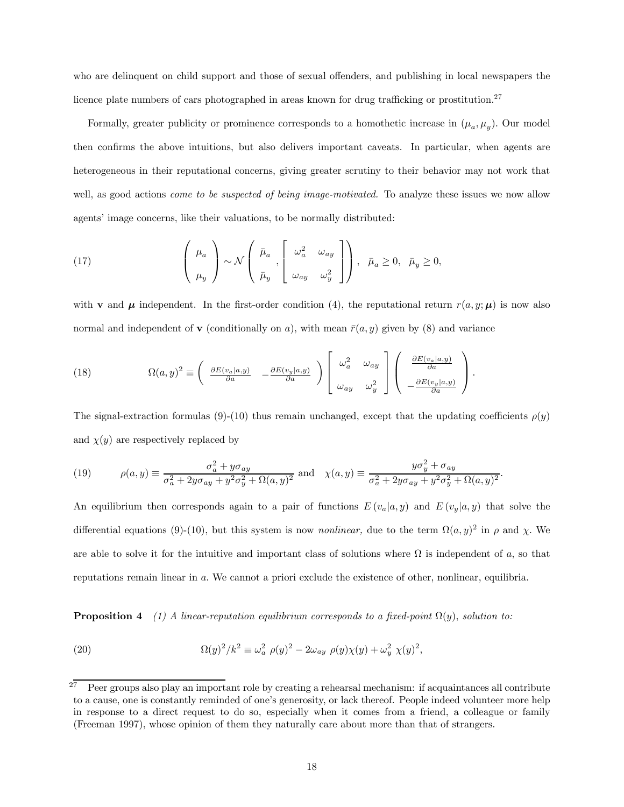who are delinquent on child support and those of sexual offenders, and publishing in local newspapers the licence plate numbers of cars photographed in areas known for drug trafficking or prostitution.<sup>27</sup>

Formally, greater publicity or prominence corresponds to a homothetic increase in  $(\mu_a, \mu_v)$ . Our model then confirms the above intuitions, but also delivers important caveats. In particular, when agents are heterogeneous in their reputational concerns, giving greater scrutiny to their behavior may not work that well, as good actions *come to be suspected of being image-motivated*. To analyze these issues we now allow agents' image concerns, like their valuations, to be normally distributed:

(17) 
$$
\begin{pmatrix} \mu_a \\ \mu_y \end{pmatrix} \sim \mathcal{N} \begin{pmatrix} \bar{\mu}_a \\ \bar{\mu}_y \end{pmatrix} \begin{pmatrix} \omega_a^2 & \omega_{ay} \\ \omega_{ay} & \omega_y^2 \end{pmatrix}, \ \ \bar{\mu}_a \geq 0, \ \ \bar{\mu}_y \geq 0,
$$

with **v** and  $\mu$  independent. In the first-order condition (4), the reputational return  $r(a, y; \mu)$  is now also normal and independent of **v** (conditionally on a), with mean  $\bar{r}(a, y)$  given by (8) and variance

(18) 
$$
\Omega(a,y)^2 \equiv \begin{pmatrix} \frac{\partial E(v_a|a,y)}{\partial a} & -\frac{\partial E(v_y|a,y)}{\partial a} \end{pmatrix} \begin{bmatrix} \omega_a^2 & \omega_{ay} \\ \omega_{ay} & \omega_y^2 \end{bmatrix} \begin{pmatrix} \frac{\partial E(v_a|a,y)}{\partial a} \\ -\frac{\partial E(v_y|a,y)}{\partial a} \end{pmatrix}.
$$

The signal-extraction formulas (9)-(10) thus remain unchanged, except that the updating coefficients  $\rho(y)$ and  $\chi(y)$  are respectively replaced by

(19) 
$$
\rho(a,y) \equiv \frac{\sigma_a^2 + y\sigma_{ay}}{\sigma_a^2 + 2y\sigma_{ay} + y^2\sigma_y^2 + \Omega(a,y)^2} \text{ and } \chi(a,y) \equiv \frac{y\sigma_y^2 + \sigma_{ay}}{\sigma_a^2 + 2y\sigma_{ay} + y^2\sigma_y^2 + \Omega(a,y)^2}.
$$

An equilibrium then corresponds again to a pair of functions  $E(v_a|a, y)$  and  $E(v_y|a, y)$  that solve the differential equations (9)-(10), but this system is now *nonlinear*, due to the term  $\Omega(a, y)^2$  in  $\rho$  and  $\chi$ . We are able to solve it for the intuitive and important class of solutions where  $\Omega$  is independent of a, so that reputations remain linear in a. We cannot a priori exclude the existence of other, nonlinear, equilibria.

**Proposition 4** (1) A linear-reputation equilibrium corresponds to a fixed-point  $\Omega(y)$ , solution to:

(20) 
$$
\Omega(y)^{2}/k^{2} \equiv \omega_{a}^{2} \rho(y)^{2} - 2\omega_{ay} \rho(y)\chi(y) + \omega_{y}^{2} \chi(y)^{2},
$$

 $27$  Peer groups also play an important role by creating a rehearsal mechanism: if acquaintances all contribute to a cause, one is constantly reminded of one's generosity, or lack thereof. People indeed volunteer more help in response to a direct request to do so, especially when it comes from a friend, a colleague or family (Freeman 1997), whose opinion of them they naturally care about more than that of strangers.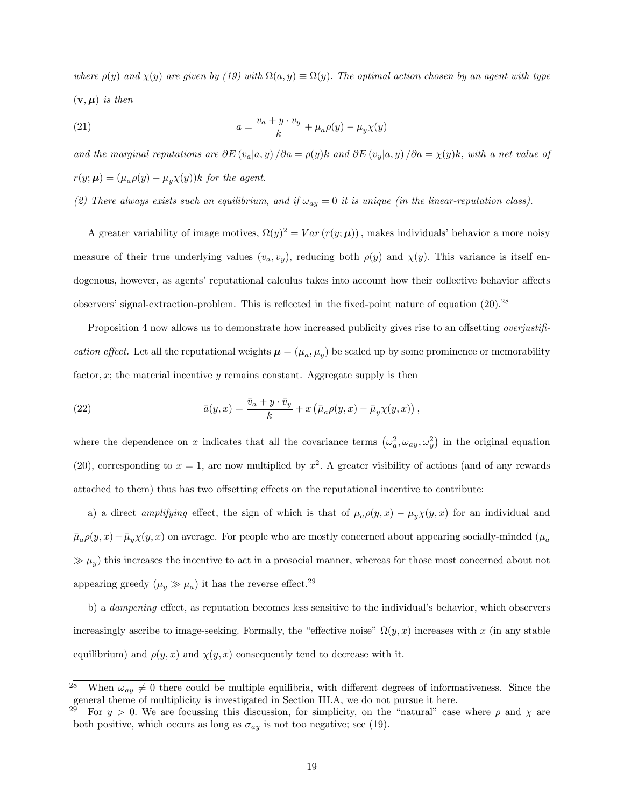where  $\rho(y)$  and  $\chi(y)$  are given by (19) with  $\Omega(a, y) \equiv \Omega(y)$ . The optimal action chosen by an agent with type  $(v, \mu)$  is then

(21) 
$$
a = \frac{v_a + y \cdot v_y}{k} + \mu_a \rho(y) - \mu_y \chi(y)
$$

and the marginal reputations are  $\partial E (v_a|a, y) / \partial a = \rho(y)k$  and  $\partial E (v_y|a, y) / \partial a = \chi(y)k$ , with a net value of  $r(y; \mu)=(\mu_a \rho(y) - \mu_y \chi(y))k$  for the agent.

(2) There always exists such an equilibrium, and if  $\omega_{ay} = 0$  it is unique (in the linear-reputation class).

A greater variability of image motives,  $\Omega(y)^2 = Var(r(y; \mu))$ , makes individuals' behavior a more noisy measure of their true underlying values  $(v_a, v_y)$ , reducing both  $\rho(y)$  and  $\chi(y)$ . This variance is itself endogenous, however, as agents' reputational calculus takes into account how their collective behavior affects observers' signal-extraction-problem. This is reflected in the fixed-point nature of equation (20).28

Proposition 4 now allows us to demonstrate how increased publicity gives rise to an offsetting *overjustifi*cation effect. Let all the reputational weights  $\mu = (\mu_a, \mu_y)$  be scaled up by some prominence or memorability factor,  $x$ ; the material incentive  $y$  remains constant. Aggregate supply is then

(22) 
$$
\bar{a}(y,x) = \frac{\bar{v}_a + y \cdot \bar{v}_y}{k} + x \left( \bar{\mu}_a \rho(y,x) - \bar{\mu}_y \chi(y,x) \right),
$$

where the dependence on x indicates that all the covariance terms  $(\omega_a^2, \omega_{ay}, \omega_y^2)$  in the original equation (20), corresponding to  $x = 1$ , are now multiplied by  $x^2$ . A greater visibility of actions (and of any rewards attached to them) thus has two offsetting effects on the reputational incentive to contribute:

a) a direct amplifying effect, the sign of which is that of  $\mu_a \rho(y, x) - \mu_y \chi(y, x)$  for an individual and  $\bar{\mu}_a \rho(y, x) - \bar{\mu}_y \chi(y, x)$  on average. For people who are mostly concerned about appearing socially-minded ( $\mu_a$  $\gg \mu_y$ ) this increases the incentive to act in a prosocial manner, whereas for those most concerned about not appearing greedy  $(\mu_y \gg \mu_a)$  it has the reverse effect.  $^{29}$ 

b) a dampening effect, as reputation becomes less sensitive to the individual's behavior, which observers increasingly ascribe to image-seeking. Formally, the "effective noise"  $\Omega(y, x)$  increases with x (in any stable equilibrium) and  $\rho(y, x)$  and  $\chi(y, x)$  consequently tend to decrease with it.

When  $\omega_{ay} \neq 0$  there could be multiple equilibria, with different degrees of informativeness. Since the general theme of multiplicity is investigated in Section III.A, we do not pursue it here.

For  $y > 0$ . We are focussing this discussion, for simplicity, on the "natural" case where  $\rho$  and  $\chi$  are both positive, which occurs as long as  $\sigma_{ay}$  is not too negative; see (19).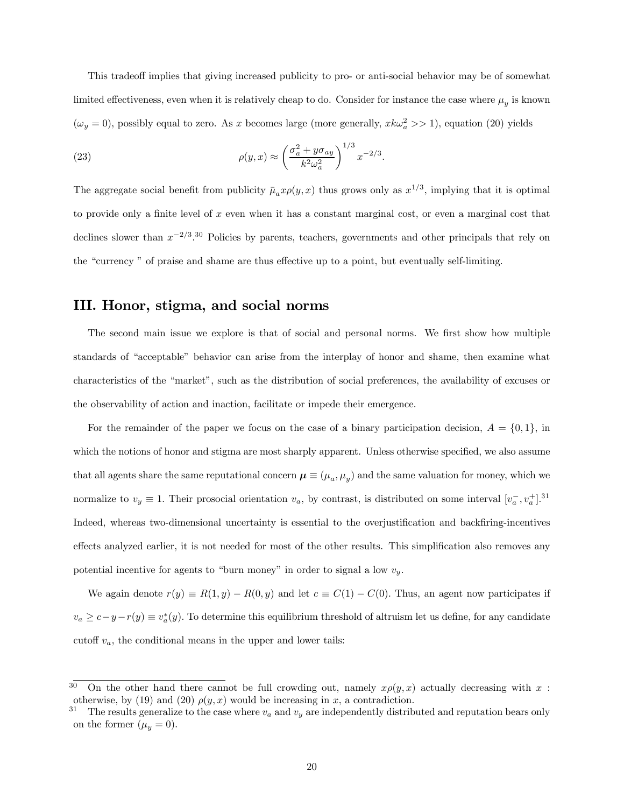This tradeoff implies that giving increased publicity to pro- or anti-social behavior may be of somewhat limited effectiveness, even when it is relatively cheap to do. Consider for instance the case where  $\mu_u$  is known  $(\omega_y = 0)$ , possibly equal to zero. As x becomes large (more generally,  $x k \omega_a^2 >> 1$ ), equation (20) yields

(23) 
$$
\rho(y,x) \approx \left(\frac{\sigma_a^2 + y\sigma_{ay}}{k^2\omega_a^2}\right)^{1/3} x^{-2/3}.
$$

The aggregate social benefit from publicity  $\bar{\mu}_a x \rho(y, x)$  thus grows only as  $x^{1/3}$ , implying that it is optimal to provide only a finite level of x even when it has a constant marginal cost, or even a marginal cost that declines slower than  $x^{-2/3}$ .<sup>30</sup> Policies by parents, teachers, governments and other principals that rely on the "currency " of praise and shame are thus effective up to a point, but eventually self-limiting.

## III. Honor, stigma, and social norms

The second main issue we explore is that of social and personal norms. We first show how multiple standards of "acceptable" behavior can arise from the interplay of honor and shame, then examine what characteristics of the "market", such as the distribution of social preferences, the availability of excuses or the observability of action and inaction, facilitate or impede their emergence.

For the remainder of the paper we focus on the case of a binary participation decision,  $A = \{0, 1\}$ , in which the notions of honor and stigma are most sharply apparent. Unless otherwise specified, we also assume that all agents share the same reputational concern  $\mu \equiv (\mu_a, \mu_y)$  and the same valuation for money, which we normalize to  $v_y \equiv 1$ . Their prosocial orientation  $v_a$ , by contrast, is distributed on some interval  $[v_a^-, v_a^+]$ .<sup>31</sup> Indeed, whereas two-dimensional uncertainty is essential to the overjustification and backfiring-incentives effects analyzed earlier, it is not needed for most of the other results. This simplification also removes any potential incentive for agents to "burn money" in order to signal a low  $v_y$ .

We again denote  $r(y) \equiv R(1, y) - R(0, y)$  and let  $c \equiv C(1) - C(0)$ . Thus, an agent now participates if  $v_a \geq c - y - r(y) \equiv v_a^*(y)$ . To determine this equilibrium threshold of altruism let us define, for any candidate cutoff  $v_a$ , the conditional means in the upper and lower tails:

On the other hand there cannot be full crowding out, namely  $x\rho(y, x)$  actually decreasing with x: otherwise, by (19) and (20)  $\rho(y, x)$  would be increasing in x, a contradiction.

<sup>&</sup>lt;sup>31</sup> The results generalize to the case where  $v_a$  and  $v_y$  are independently distributed and reputation bears only on the former  $(\mu_u = 0)$ .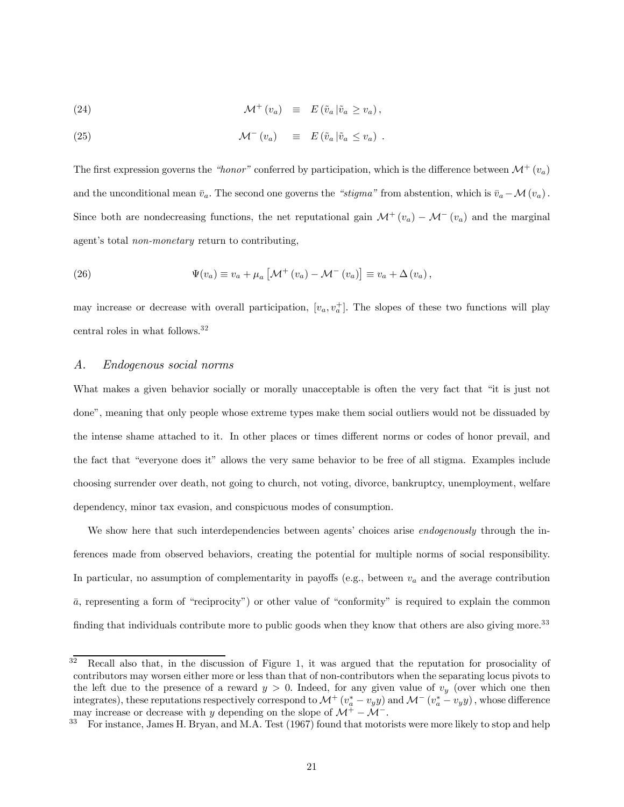(24) 
$$
\mathcal{M}^+(v_a) \equiv E(\tilde{v}_a | \tilde{v}_a \ge v_a),
$$

(25) 
$$
\mathcal{M}^-(v_a) \equiv E(\tilde{v}_a | \tilde{v}_a \le v_a) .
$$

The first expression governs the "honor" conferred by participation, which is the difference between  $\mathcal{M}^+(v_a)$ and the unconditional mean  $\bar{v}_a$ . The second one governs the "stigma" from abstention, which is  $\bar{v}_a - \mathcal{M}(v_a)$ . Since both are nondecreasing functions, the net reputational gain  $\mathcal{M}^+(v_a) - \mathcal{M}^-(v_a)$  and the marginal agent's total non-monetary return to contributing,

(26) 
$$
\Psi(v_a) \equiv v_a + \mu_a \left[ \mathcal{M}^+(v_a) - \mathcal{M}^-(v_a) \right] \equiv v_a + \Delta(v_a),
$$

may increase or decrease with overall participation,  $[v_a, v_a^+]$ . The slopes of these two functions will play central roles in what follows.32

#### A. Endogenous social norms

What makes a given behavior socially or morally unacceptable is often the very fact that "it is just not done", meaning that only people whose extreme types make them social outliers would not be dissuaded by the intense shame attached to it. In other places or times different norms or codes of honor prevail, and the fact that "everyone does it" allows the very same behavior to be free of all stigma. Examples include choosing surrender over death, not going to church, not voting, divorce, bankruptcy, unemployment, welfare dependency, minor tax evasion, and conspicuous modes of consumption.

We show here that such interdependencies between agents' choices arise *endogenously* through the inferences made from observed behaviors, creating the potential for multiple norms of social responsibility. In particular, no assumption of complementarity in payoffs (e.g., between  $v_a$  and the average contribution  $\bar{a}$ , representing a form of "reciprocity") or other value of "conformity" is required to explain the common finding that individuals contribute more to public goods when they know that others are also giving more.<sup>33</sup>

<sup>32</sup> Recall also that, in the discussion of Figure 1, it was argued that the reputation for prosociality of contributors may worsen either more or less than that of non-contributors when the separating locus pivots to the left due to the presence of a reward  $y > 0$ . Indeed, for any given value of  $v_y$  (over which one then integrates), these reputations respectively correspond to  $\mathcal{M}^+$   $(v_a^* - v_y y)$  and  $\mathcal{M}^ (v_a^* - v_y y)$ , whose difference may increase or decrease with y depending on the slope of  $\mathcal{M}^+ - \mathcal{M}^-$ .<br><sup>33</sup> For instance, James H. Bryan, and M.A. Test (1967) found that motorists were more likely to stop and help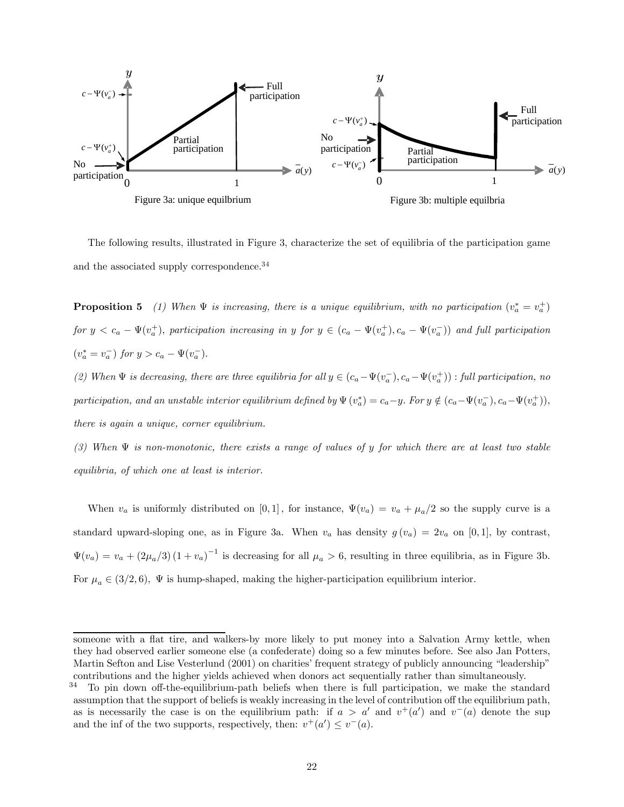

The following results, illustrated in Figure 3, characterize the set of equilibria of the participation game and the associated supply correspondence.<sup>34</sup>

**Proposition 5** (1) When  $\Psi$  is increasing, there is a unique equilibrium, with no participation  $(v_a^* = v_a^+)$ for  $y < c_a - \Psi(v_a^+)$ , participation increasing in y for  $y \in (c_a - \Psi(v_a^+), c_a - \Psi(v_a^-))$  and full participation  $(v_a^* = v_a^-)$  for  $y > c_a - \Psi(v_a^-)$ .

(2) When  $\Psi$  is decreasing, there are three equilibria for all  $y \in (c_a - \Psi(v_a^-), c_a - \Psi(v_a^+))$ : full participation, no participation, and an unstable interior equilibrium defined by  $\Psi(v_a^*) = c_a - y$ . For  $y \notin (c_a - \Psi(v_a^-), c_a - \Psi(v_a^+)),$ there is again a unique, corner equilibrium.

(3) When  $\Psi$  is non-monotonic, there exists a range of values of y for which there are at least two stable equilibria, of which one at least is interior.

When  $v_a$  is uniformly distributed on [0,1], for instance,  $\Psi(v_a) = v_a + \mu_a/2$  so the supply curve is a standard upward-sloping one, as in Figure 3a. When  $v_a$  has density  $g(v_a)=2v_a$  on [0, 1], by contrast,  $\Psi(v_a) = v_a + (2\mu_a/3)(1 + v_a)^{-1}$  is decreasing for all  $\mu_a > 6$ , resulting in three equilibria, as in Figure 3b. For  $\mu_a \in (3/2, 6)$ ,  $\Psi$  is hump-shaped, making the higher-participation equilibrium interior.

someone with a flat tire, and walkers-by more likely to put money into a Salvation Army kettle, when they had observed earlier someone else (a confederate) doing so a few minutes before. See also Jan Potters, Martin Sefton and Lise Vesterlund (2001) on charities' frequent strategy of publicly announcing "leadership" contributions and the higher yields achieved when donors act sequentially rather than simultaneously.

<sup>&</sup>lt;sup>34</sup> To pin down off-the-equilibrium-path beliefs when there is full participation, we make the standard assumption that the support of beliefs is weakly increasing in the level of contribution off the equilibrium path, as is necessarily the case is on the equilibrium path: if  $a > a'$  and  $v^+(a')$  and  $v^-(a)$  denote the sup and the inf of the two supports, respectively, then:  $v^+(a') \leq v^-(a)$ .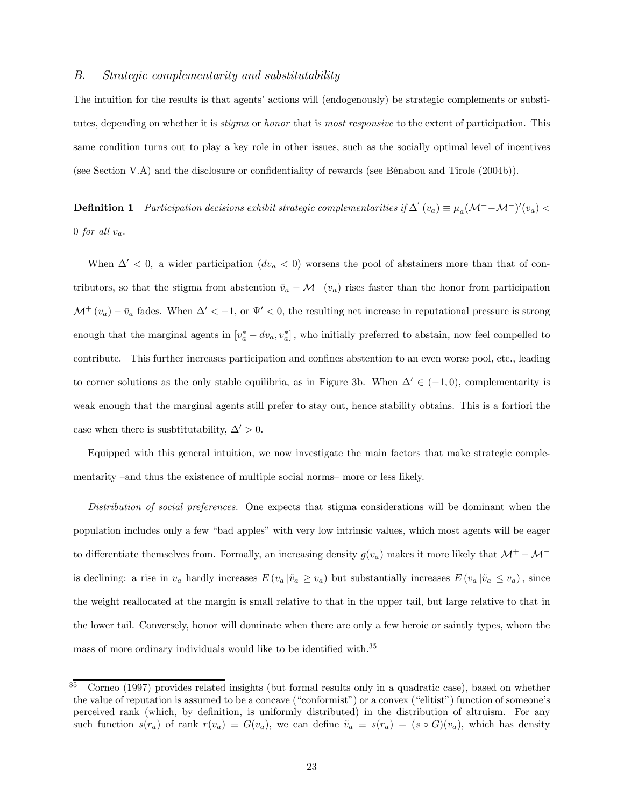#### B. Strategic complementarity and substitutability

The intuition for the results is that agents' actions will (endogenously) be strategic complements or substitutes, depending on whether it is *stigma* or *honor* that is most responsive to the extent of participation. This same condition turns out to play a key role in other issues, such as the socially optimal level of incentives (see Section V.A) and the disclosure or confidentiality of rewards (see Bénabou and Tirole (2004b)).

**Definition 1** Participation decisions exhibit strategic complementarities if  $\Delta'(v_a) \equiv \mu_a(\mathcal{M}^+ - \mathcal{M}^-)'(v_a)$ 0 for all  $v_a$ .

When  $\Delta' < 0$ , a wider participation  $(dv_a < 0)$  worsens the pool of abstainers more than that of contributors, so that the stigma from abstention  $\bar{v}_a - \mathcal{M}^- (v_a)$  rises faster than the honor from participation  $\mathcal{M}^+(v_a) - \bar{v}_a$  fades. When  $\Delta' < -1$ , or  $\Psi' < 0$ , the resulting net increase in reputational pressure is strong enough that the marginal agents in  $[v_a^* - dv_a, v_a^*]$ , who initially preferred to abstain, now feel compelled to contribute. This further increases participation and confines abstention to an even worse pool, etc., leading to corner solutions as the only stable equilibria, as in Figure 3b. When  $\Delta' \in (-1, 0)$ , complementarity is weak enough that the marginal agents still prefer to stay out, hence stability obtains. This is a fortiori the case when there is susbtitutability,  $\Delta' > 0$ .

Equipped with this general intuition, we now investigate the main factors that make strategic complementarity —and thus the existence of multiple social norms— more or less likely.

Distribution of social preferences. One expects that stigma considerations will be dominant when the population includes only a few "bad apples" with very low intrinsic values, which most agents will be eager to differentiate themselves from. Formally, an increasing density  $g(v_a)$  makes it more likely that  $\mathcal{M}^+ - \mathcal{M}^$ is declining: a rise in  $v_a$  hardly increases  $E(v_a | \tilde{v}_a \ge v_a)$  but substantially increases  $E(v_a | \tilde{v}_a \le v_a)$ , since the weight reallocated at the margin is small relative to that in the upper tail, but large relative to that in the lower tail. Conversely, honor will dominate when there are only a few heroic or saintly types, whom the mass of more ordinary individuals would like to be identified with.35

<sup>35</sup> Corneo (1997) provides related insights (but formal results only in a quadratic case), based on whether the value of reputation is assumed to be a concave ("conformist") or a convex ("elitist") function of someone's perceived rank (which, by definition, is uniformly distributed) in the distribution of altruism. For any such function  $s(r_a)$  of rank  $r(v_a) \equiv G(v_a)$ , we can define  $\tilde{v}_a \equiv s(r_a) = (s \circ G)(v_a)$ , which has density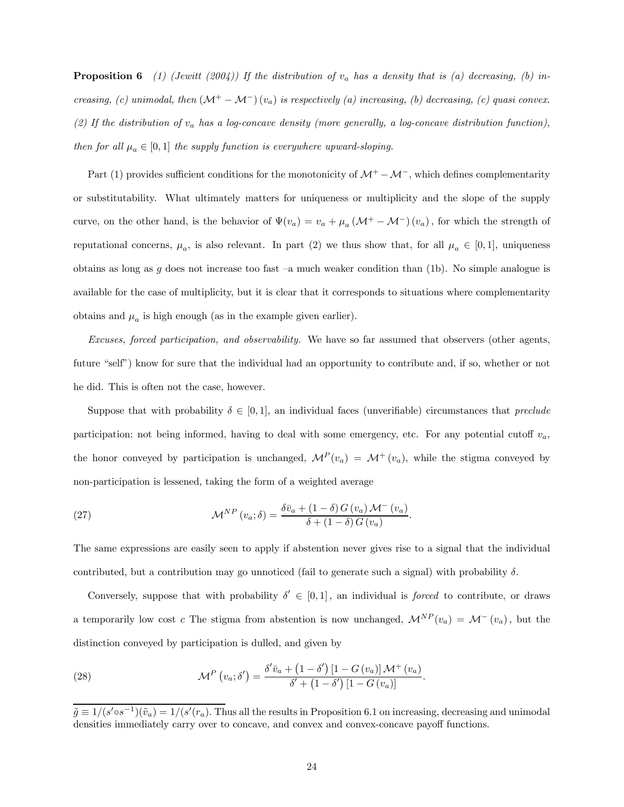**Proposition 6** (1) (Jewitt (2004)) If the distribution of  $v_a$  has a density that is (a) decreasing, (b) increasing, (c) unimodal, then  $(\mathcal{M}^+ - \mathcal{M}^-)(v_a)$  is respectively (a) increasing, (b) decreasing, (c) quasi convex. (2) If the distribution of  $v_a$  has a log-concave density (more generally, a log-concave distribution function), then for all  $\mu_a \in [0,1]$  the supply function is everywhere upward-sloping.

Part (1) provides sufficient conditions for the monotonicity of  $\mathcal{M}^+ - \mathcal{M}^-$ , which defines complementarity or substitutability. What ultimately matters for uniqueness or multiplicity and the slope of the supply curve, on the other hand, is the behavior of  $\Psi(v_a) = v_a + \mu_a (\mathcal{M}^+ - \mathcal{M}^-)(v_a)$ , for which the strength of reputational concerns,  $\mu_a$ , is also relevant. In part (2) we thus show that, for all  $\mu_a \in [0,1]$ , uniqueness obtains as long as g does not increase too fast  $-a$  much weaker condition than (1b). No simple analogue is available for the case of multiplicity, but it is clear that it corresponds to situations where complementarity obtains and  $\mu_a$  is high enough (as in the example given earlier).

Excuses, forced participation, and observability. We have so far assumed that observers (other agents, future "self") know for sure that the individual had an opportunity to contribute and, if so, whether or not he did. This is often not the case, however.

Suppose that with probability  $\delta \in [0, 1]$ , an individual faces (unverifiable) circumstances that *preclude* participation: not being informed, having to deal with some emergency, etc. For any potential cutoff  $v_a$ , the honor conveyed by participation is unchanged,  $\mathcal{M}^P(v_a) = \mathcal{M}^+(v_a)$ , while the stigma conveyed by non-participation is lessened, taking the form of a weighted average

(27) 
$$
\mathcal{M}^{NP}(v_a;\delta) = \frac{\delta \bar{v}_a + (1-\delta) G(v_a) \mathcal{M}^-(v_a)}{\delta + (1-\delta) G(v_a)}.
$$

The same expressions are easily seen to apply if abstention never gives rise to a signal that the individual contributed, but a contribution may go unnoticed (fail to generate such a signal) with probability  $\delta$ .

Conversely, suppose that with probability  $\delta' \in [0,1]$ , an individual is forced to contribute, or draws a temporarily low cost c The stigma from abstention is now unchanged,  $\mathcal{M}^{NP}(v_a) = \mathcal{M}^-(v_a)$ , but the distinction conveyed by participation is dulled, and given by

(28) 
$$
\mathcal{M}^{P}\left(v_{a};\delta'\right)=\frac{\delta'\bar{v}_{a}+\left(1-\delta'\right)\left[1-G\left(v_{a}\right)\right]\mathcal{M}^{+}\left(v_{a}\right)}{\delta'+\left(1-\delta'\right)\left[1-G\left(v_{a}\right)\right]}.
$$

 $\tilde{g} \equiv 1/(s'\circ s^{-1})(\tilde{v}_a) = 1/(s'(r_a)$ . Thus all the results in Proposition 6.1 on increasing, decreasing and unimodal densities immediately carry over to concave, and convex and convex-concave payoff functions.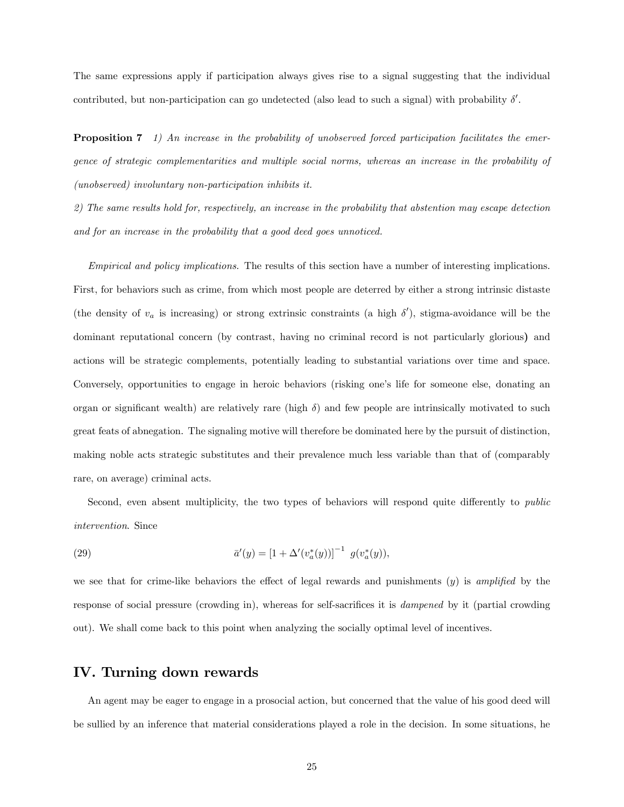The same expressions apply if participation always gives rise to a signal suggesting that the individual contributed, but non-participation can go undetected (also lead to such a signal) with probability  $\delta'$ .

**Proposition 7** 1) An increase in the probability of unobserved forced participation facilitates the emergence of strategic complementarities and multiple social norms, whereas an increase in the probability of (unobserved) involuntary non-participation inhibits it.

2) The same results hold for, respectively, an increase in the probability that abstention may escape detection and for an increase in the probability that a good deed goes unnoticed.

Empirical and policy implications. The results of this section have a number of interesting implications. First, for behaviors such as crime, from which most people are deterred by either a strong intrinsic distaste (the density of  $v_a$  is increasing) or strong extrinsic constraints (a high  $\delta'$ ), stigma-avoidance will be the dominant reputational concern (by contrast, having no criminal record is not particularly glorious) and actions will be strategic complements, potentially leading to substantial variations over time and space. Conversely, opportunities to engage in heroic behaviors (risking one's life for someone else, donating an organ or significant wealth) are relatively rare (high  $\delta$ ) and few people are intrinsically motivated to such great feats of abnegation. The signaling motive will therefore be dominated here by the pursuit of distinction, making noble acts strategic substitutes and their prevalence much less variable than that of (comparably rare, on average) criminal acts.

Second, even absent multiplicity, the two types of behaviors will respond quite differently to *public* intervention. Since

(29) 
$$
\bar{a}'(y) = [1 + \Delta'(v_a^*(y))]^{-1} g(v_a^*(y)),
$$

we see that for crime-like behaviors the effect of legal rewards and punishments  $(y)$  is amplified by the response of social pressure (crowding in), whereas for self-sacrifices it is dampened by it (partial crowding out). We shall come back to this point when analyzing the socially optimal level of incentives.

# IV. Turning down rewards

An agent may be eager to engage in a prosocial action, but concerned that the value of his good deed will be sullied by an inference that material considerations played a role in the decision. In some situations, he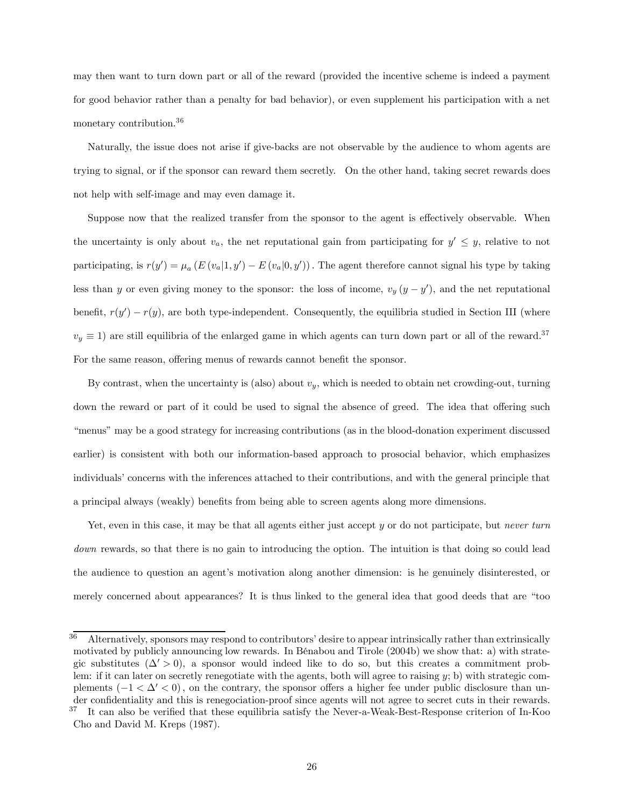may then want to turn down part or all of the reward (provided the incentive scheme is indeed a payment for good behavior rather than a penalty for bad behavior), or even supplement his participation with a net monetary contribution.36

Naturally, the issue does not arise if give-backs are not observable by the audience to whom agents are trying to signal, or if the sponsor can reward them secretly. On the other hand, taking secret rewards does not help with self-image and may even damage it.

Suppose now that the realized transfer from the sponsor to the agent is effectively observable. When the uncertainty is only about  $v_a$ , the net reputational gain from participating for  $y' \leq y$ , relative to not participating, is  $r(y') = \mu_a (E(v_a|1, y') - E(v_a|0, y'))$ . The agent therefore cannot signal his type by taking less than y or even giving money to the sponsor: the loss of income,  $v_y(y - y')$ , and the net reputational benefit,  $r(y') - r(y)$ , are both type-independent. Consequently, the equilibria studied in Section III (where  $v_y \equiv 1$ ) are still equilibria of the enlarged game in which agents can turn down part or all of the reward.<sup>37</sup> For the same reason, offering menus of rewards cannot benefit the sponsor.

By contrast, when the uncertainty is (also) about  $v_y$ , which is needed to obtain net crowding-out, turning down the reward or part of it could be used to signal the absence of greed. The idea that offering such "menus" may be a good strategy for increasing contributions (as in the blood-donation experiment discussed earlier) is consistent with both our information-based approach to prosocial behavior, which emphasizes individuals' concerns with the inferences attached to their contributions, and with the general principle that a principal always (weakly) benefits from being able to screen agents along more dimensions.

Yet, even in this case, it may be that all agents either just accept y or do not participate, but never turn down rewards, so that there is no gain to introducing the option. The intuition is that doing so could lead the audience to question an agent's motivation along another dimension: is he genuinely disinterested, or merely concerned about appearances? It is thus linked to the general idea that good deeds that are "too

<sup>&</sup>lt;sup>36</sup> Alternatively, sponsors may respond to contributors' desire to appear intrinsically rather than extrinsically motivated by publicly announcing low rewards. In Bénabou and Tirole (2004b) we show that: a) with strategic substitutes  $(\Delta' > 0)$ , a sponsor would indeed like to do so, but this creates a commitment problem: if it can later on secretly renegotiate with the agents, both will agree to raising  $y$ ; b) with strategic complements  $(-1 < \Delta' < 0)$ , on the contrary, the sponsor offers a higher fee under public disclosure than under confidentiality and this is renegociation-proof since agents will not agree to secret cuts in their rewards. <sup>37</sup> It can also be verified that these equilibria satisfy the Never-a-Weak-Best-Response criterion of In-Koo

Cho and David M. Kreps (1987).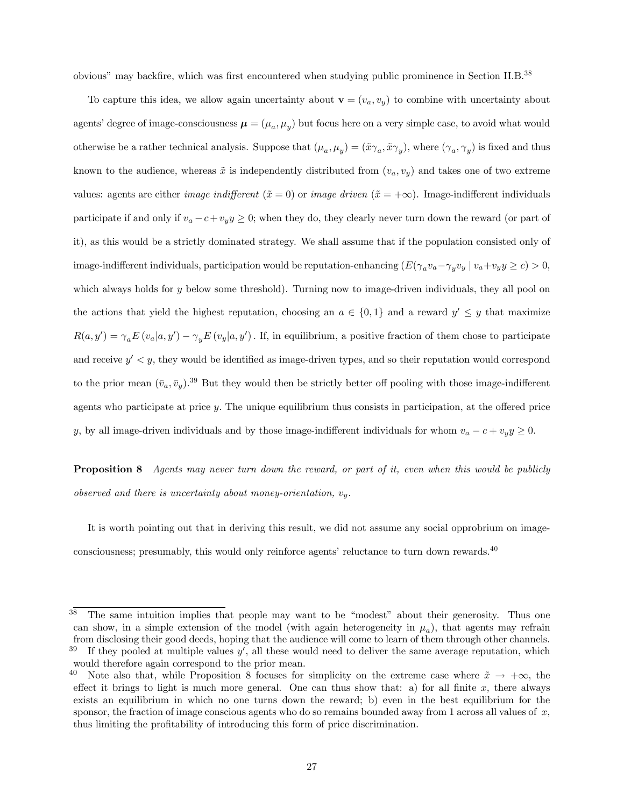obvious" may backfire, which was first encountered when studying public prominence in Section II.B.<sup>38</sup>

To capture this idea, we allow again uncertainty about  $\mathbf{v} = (v_a, v_y)$  to combine with uncertainty about agents' degree of image-consciousness  $\mu = (\mu_a, \mu_y)$  but focus here on a very simple case, to avoid what would otherwise be a rather technical analysis. Suppose that  $(\mu_a, \mu_y) = (\tilde{x}\gamma_a, \tilde{x}\gamma_y)$ , where  $(\gamma_a, \gamma_y)$  is fixed and thus known to the audience, whereas  $\tilde{x}$  is independently distributed from  $(v_a, v_y)$  and takes one of two extreme values: agents are either *image indifferent* ( $\tilde{x} = 0$ ) or *image driven* ( $\tilde{x} = +\infty$ ). Image-indifferent individuals participate if and only if  $v_a - c + v_y y \ge 0$ ; when they do, they clearly never turn down the reward (or part of it), as this would be a strictly dominated strategy. We shall assume that if the population consisted only of image-indifferent individuals, participation would be reputation-enhancing  $(E(\gamma_a v_a-\gamma_y v_y \mid v_a+v_y y\geq c)>0,$ which always holds for y below some threshold). Turning now to image-driven individuals, they all pool on the actions that yield the highest reputation, choosing an  $a \in \{0,1\}$  and a reward  $y' \leq y$  that maximize  $R(a, y') = \gamma_a E(v_a|a, y') - \gamma_y E(v_y|a, y')$ . If, in equilibrium, a positive fraction of them chose to participate and receive  $y' < y$ , they would be identified as image-driven types, and so their reputation would correspond to the prior mean  $(\bar{v}_a, \bar{v}_y)$ .<sup>39</sup> But they would then be strictly better off pooling with those image-indifferent agents who participate at price y. The unique equilibrium thus consists in participation, at the offered price y, by all image-driven individuals and by those image-indifferent individuals for whom  $v_a - c + v_y y \ge 0$ .

**Proposition 8** Agents may never turn down the reward, or part of it, even when this would be publicly observed and there is uncertainty about money-orientation,  $v_y$ .

It is worth pointing out that in deriving this result, we did not assume any social opprobrium on imageconsciousness; presumably, this would only reinforce agents' reluctance to turn down rewards.<sup>40</sup>

 $38$  The same intuition implies that people may want to be "modest" about their generosity. Thus one can show, in a simple extension of the model (with again heterogeneity in  $\mu_a$ ), that agents may refrain from disclosing their good deeds, hoping that the audience will come to learn of them through other channels.<br><sup>39</sup> If they pooled at multiple values  $u'$ , all these would need to deliver the same average reputation, which  $39$  If they pooled at multiple values  $y'$ , all these would need to deliver the same average reputation, which would therefore again correspond to the prior mean.<br><sup>40</sup> Note also that while Proposition 8 focuses for

Note also that, while Proposition 8 focuses for simplicity on the extreme case where  $\tilde{x} \to +\infty$ , the effect it brings to light is much more general. One can thus show that: a) for all finite  $x$ , there always exists an equilibrium in which no one turns down the reward; b) even in the best equilibrium for the sponsor, the fraction of image conscious agents who do so remains bounded away from 1 across all values of  $x$ , thus limiting the profitability of introducing this form of price discrimination.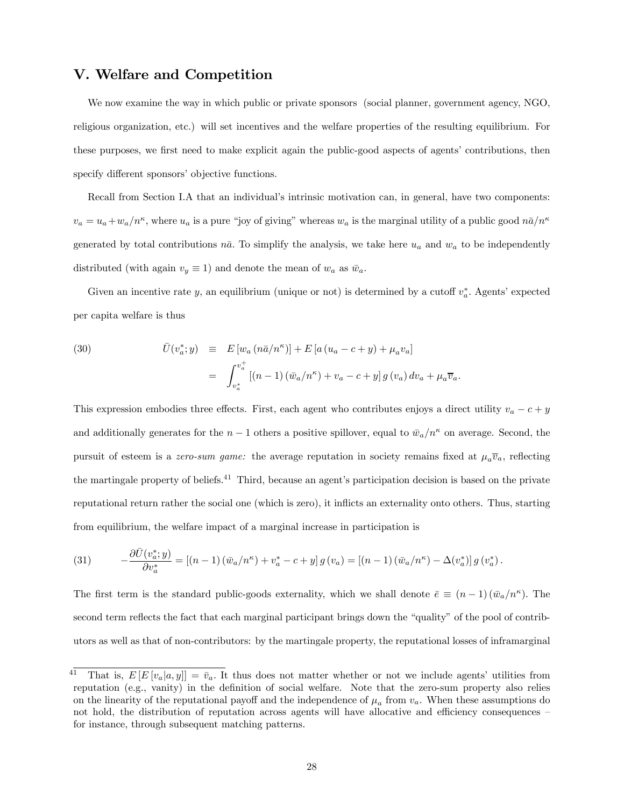# V. Welfare and Competition

We now examine the way in which public or private sponsors (social planner, government agency, NGO, religious organization, etc.) will set incentives and the welfare properties of the resulting equilibrium. For these purposes, we first need to make explicit again the public-good aspects of agents' contributions, then specify different sponsors' objective functions.

Recall from Section I.A that an individual's intrinsic motivation can, in general, have two components:  $v_a = u_a + w_a/n^{\kappa}$ , where  $u_a$  is a pure "joy of giving" whereas  $w_a$  is the marginal utility of a public good  $n\bar{a}/n^{\kappa}$ generated by total contributions  $n\bar{a}$ . To simplify the analysis, we take here  $u_a$  and  $w_a$  to be independently distributed (with again  $v_y \equiv 1$ ) and denote the mean of  $w_a$  as  $\bar{w}_a$ .

Given an incentive rate y, an equilibrium (unique or not) is determined by a cutoff  $v_a^*$ . Agents' expected per capita welfare is thus

(30) 
$$
\bar{U}(v_a^*; y) \equiv E[w_a (n\bar{a}/n^{\kappa})] + E[a(u_a - c + y) + \mu_a v_a]
$$

$$
= \int_{v_a^*}^{v_a^+} [(n-1) (\bar{w}_a/n^{\kappa}) + v_a - c + y] g(v_a) dv_a + \mu_a \bar{v}_a.
$$

This expression embodies three effects. First, each agent who contributes enjoys a direct utility  $v_a - c + y$ and additionally generates for the  $n-1$  others a positive spillover, equal to  $\bar{w}_a/n^{\kappa}$  on average. Second, the pursuit of esteem is a zero-sum game: the average reputation in society remains fixed at  $\mu_a \overline{v}_a$ , reflecting the martingale property of beliefs.41 Third, because an agent's participation decision is based on the private reputational return rather the social one (which is zero), it inflicts an externality onto others. Thus, starting from equilibrium, the welfare impact of a marginal increase in participation is

(31) 
$$
-\frac{\partial \bar{U}(v_a^*; y)}{\partial v_a^*} = [(n-1) (\bar{w}_a/n^{\kappa}) + v_a^* - c + y] g(v_a) = [(n-1) (\bar{w}_a/n^{\kappa}) - \Delta(v_a^*)] g(v_a^*).
$$

The first term is the standard public-goods externality, which we shall denote  $\bar{e} \equiv (n-1) (\bar{w}_a/n^{\kappa})$ . The second term reflects the fact that each marginal participant brings down the "quality" of the pool of contributors as well as that of non-contributors: by the martingale property, the reputational losses of inframarginal

<sup>&</sup>lt;sup>41</sup> That is,  $E[E[v_a|a, y]] = \bar{v}_a$ . It thus does not matter whether or not we include agents' utilities from reputation (e.g., vanity) in the definition of social welfare. Note that the zero-sum property also relies on the linearity of the reputational payoff and the independence of  $\mu_a$  from  $v_a$ . When these assumptions do not hold, the distribution of reputation across agents will have allocative and efficiency consequences – for instance, through subsequent matching patterns.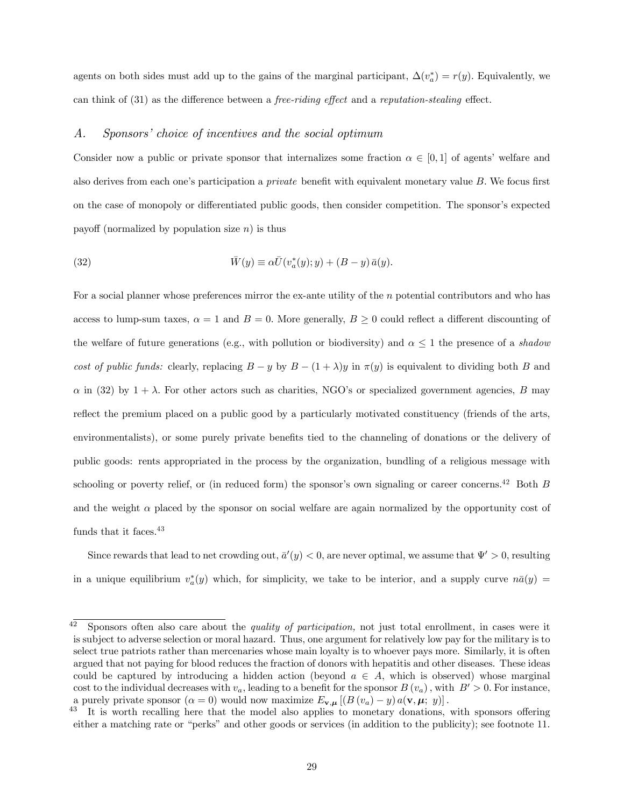agents on both sides must add up to the gains of the marginal participant,  $\Delta(v_a^*) = r(y)$ . Equivalently, we can think of (31) as the difference between a free-riding effect and a reputation-stealing effect.

### A. Sponsors' choice of incentives and the social optimum

Consider now a public or private sponsor that internalizes some fraction  $\alpha \in [0,1]$  of agents' welfare and also derives from each one's participation a private benefit with equivalent monetary value B. We focus first on the case of monopoly or differentiated public goods, then consider competition. The sponsor's expected payoff (normalized by population size  $n$ ) is thus

(32) 
$$
\overline{W}(y) \equiv \alpha \overline{U}(v_a^*(y); y) + (B - y) \overline{a}(y).
$$

For a social planner whose preferences mirror the ex-ante utility of the n potential contributors and who has access to lump-sum taxes,  $\alpha = 1$  and  $B = 0$ . More generally,  $B \ge 0$  could reflect a different discounting of the welfare of future generations (e.g., with pollution or biodiversity) and  $\alpha \leq 1$  the presence of a *shadow* cost of public funds: clearly, replacing  $B - y$  by  $B - (1 + \lambda)y$  in  $\pi(y)$  is equivalent to dividing both B and  $\alpha$  in (32) by  $1 + \lambda$ . For other actors such as charities, NGO's or specialized government agencies, B may reflect the premium placed on a public good by a particularly motivated constituency (friends of the arts, environmentalists), or some purely private benefits tied to the channeling of donations or the delivery of public goods: rents appropriated in the process by the organization, bundling of a religious message with schooling or poverty relief, or (in reduced form) the sponsor's own signaling or career concerns.<sup>42</sup> Both B and the weight  $\alpha$  placed by the sponsor on social welfare are again normalized by the opportunity cost of funds that it faces.<sup>43</sup>

Since rewards that lead to net crowding out,  $\bar{a}'(y) < 0$ , are never optimal, we assume that  $\Psi' > 0$ , resulting in a unique equilibrium  $v_a^*(y)$  which, for simplicity, we take to be interior, and a supply curve  $n\bar{a}(y) =$ 

 $42$  Sponsors often also care about the *quality of participation*, not just total enrollment, in cases were it is subject to adverse selection or moral hazard. Thus, one argument for relatively low pay for the military is to select true patriots rather than mercenaries whose main loyalty is to whoever pays more. Similarly, it is often argued that not paying for blood reduces the fraction of donors with hepatitis and other diseases. These ideas could be captured by introducing a hidden action (beyond  $a \in A$ , which is observed) whose marginal cost to the individual decreases with  $v_a$ , leading to a benefit for the sponsor  $B(v_a)$ , with  $B' > 0$ . For instance, a purely private sponsor  $(\alpha = 0)$  would now maximize  $E_{\mathbf{v}, \mu}[(B(v_a) - y) a(\mathbf{v}, \mu; y)]$ .

 $43$  It is worth recalling here that the model also applies to monetary donations, with sponsors offering either a matching rate or "perks" and other goods or services (in addition to the publicity); see footnote 11.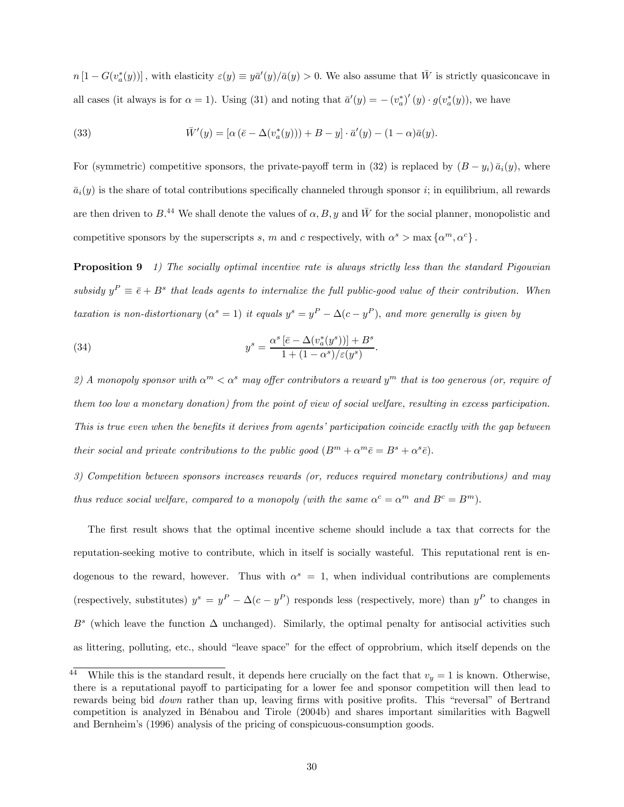$n[1-G(v_a^*(y))]$ , with elasticity  $\varepsilon(y) \equiv y\bar{a}'(y)/\bar{a}(y) > 0$ . We also assume that  $\bar{W}$  is strictly quasiconcave in all cases (it always is for  $\alpha = 1$ ). Using (31) and noting that  $\bar{a}'(y) = -(v_a^*)'(y) \cdot g(v_a^*(y))$ , we have

(33) 
$$
\bar{W}'(y) = [\alpha (\bar{e} - \Delta(v_a^*(y))) + B - y] \cdot \bar{a}'(y) - (1 - \alpha)\bar{a}(y).
$$

For (symmetric) competitive sponsors, the private-payoff term in (32) is replaced by  $(B - y_i) \bar{a}_i(y)$ , where  $\bar{a}_i(y)$  is the share of total contributions specifically channeled through sponsor i; in equilibrium, all rewards are then driven to  $B^{44}$ . We shall denote the values of  $\alpha, B, y$  and  $\bar{W}$  for the social planner, monopolistic and competitive sponsors by the superscripts s, m and c respectively, with  $\alpha^s > \max{\{\alpha^m, \alpha^c\}}$ .

**Proposition 9** 1) The socially optimal incentive rate is always strictly less than the standard Pigouvian subsidy  $y^P \equiv \bar{e} + B^s$  that leads agents to internalize the full public-good value of their contribution. When taxation is non-distortionary  $(\alpha^s = 1)$  it equals  $y^s = y^P - \Delta(c - y^P)$ , and more generally is given by

(34) 
$$
y^{s} = \frac{\alpha^{s} \left[\bar{e} - \Delta(v_{a}^{*}(y^{s}))\right] + B^{s}}{1 + (1 - \alpha^{s})/\varepsilon(y^{s})}.
$$

2) A monopoly sponsor with  $\alpha^m < \alpha^s$  may offer contributors a reward  $y^m$  that is too generous (or, require of them too low a monetary donation) from the point of view of social welfare, resulting in excess participation. This is true even when the benefits it derives from agents' participation coincide exactly with the gap between their social and private contributions to the public good  $(B^m + \alpha^m \bar{e} = B^s + \alpha^s \bar{e}).$ 

3) Competition between sponsors increases rewards (or, reduces required monetary contributions) and may thus reduce social welfare, compared to a monopoly (with the same  $\alpha^c = \alpha^m$  and  $B^c = B^m$ ).

The first result shows that the optimal incentive scheme should include a tax that corrects for the reputation-seeking motive to contribute, which in itself is socially wasteful. This reputational rent is endogenous to the reward, however. Thus with  $\alpha^s = 1$ , when individual contributions are complements (respectively, substitutes)  $y^s = y^P - \Delta(c - y^P)$  responds less (respectively, more) than  $y^P$  to changes in  $B<sup>s</sup>$  (which leave the function  $\Delta$  unchanged). Similarly, the optimal penalty for antisocial activities such as littering, polluting, etc., should "leave space" for the effect of opprobrium, which itself depends on the

<sup>&</sup>lt;sup>44</sup> While this is the standard result, it depends here crucially on the fact that  $v_y = 1$  is known. Otherwise, there is a reputational payoff to participating for a lower fee and sponsor competition will then lead to rewards being bid down rather than up, leaving firms with positive profits. This "reversal" of Bertrand competition is analyzed in Bénabou and Tirole (2004b) and shares important similarities with Bagwell and Bernheim's (1996) analysis of the pricing of conspicuous-consumption goods.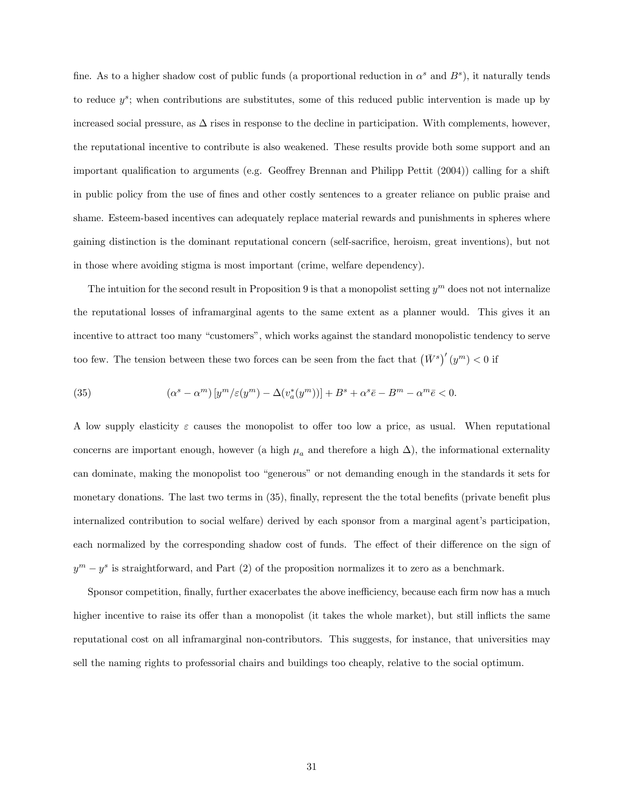fine. As to a higher shadow cost of public funds (a proportional reduction in  $\alpha^s$  and  $B^s$ ), it naturally tends to reduce  $y^s$ ; when contributions are substitutes, some of this reduced public intervention is made up by increased social pressure, as  $\Delta$  rises in response to the decline in participation. With complements, however, the reputational incentive to contribute is also weakened. These results provide both some support and an important qualification to arguments (e.g. Geoffrey Brennan and Philipp Pettit (2004)) calling for a shift in public policy from the use of fines and other costly sentences to a greater reliance on public praise and shame. Esteem-based incentives can adequately replace material rewards and punishments in spheres where gaining distinction is the dominant reputational concern (self-sacrifice, heroism, great inventions), but not in those where avoiding stigma is most important (crime, welfare dependency).

The intuition for the second result in Proposition 9 is that a monopolist setting  $y^m$  does not not internalize the reputational losses of inframarginal agents to the same extent as a planner would. This gives it an incentive to attract too many "customers", which works against the standard monopolistic tendency to serve too few. The tension between these two forces can be seen from the fact that  $(\bar{W}^s)'(y^m) < 0$  if

(35) 
$$
(\alpha^s - \alpha^m) \left[ y^m / \varepsilon(y^m) - \Delta(v_a^*(y^m)) \right] + B^s + \alpha^s \bar{e} - B^m - \alpha^m \bar{e} < 0.
$$

A low supply elasticity  $\varepsilon$  causes the monopolist to offer too low a price, as usual. When reputational concerns are important enough, however (a high  $\mu_a$  and therefore a high  $\Delta$ ), the informational externality can dominate, making the monopolist too "generous" or not demanding enough in the standards it sets for monetary donations. The last two terms in (35), finally, represent the the total benefits (private benefit plus internalized contribution to social welfare) derived by each sponsor from a marginal agent's participation, each normalized by the corresponding shadow cost of funds. The effect of their difference on the sign of  $y^m - y^s$  is straightforward, and Part (2) of the proposition normalizes it to zero as a benchmark.

Sponsor competition, finally, further exacerbates the above inefficiency, because each firm now has a much higher incentive to raise its offer than a monopolist (it takes the whole market), but still inflicts the same reputational cost on all inframarginal non-contributors. This suggests, for instance, that universities may sell the naming rights to professorial chairs and buildings too cheaply, relative to the social optimum.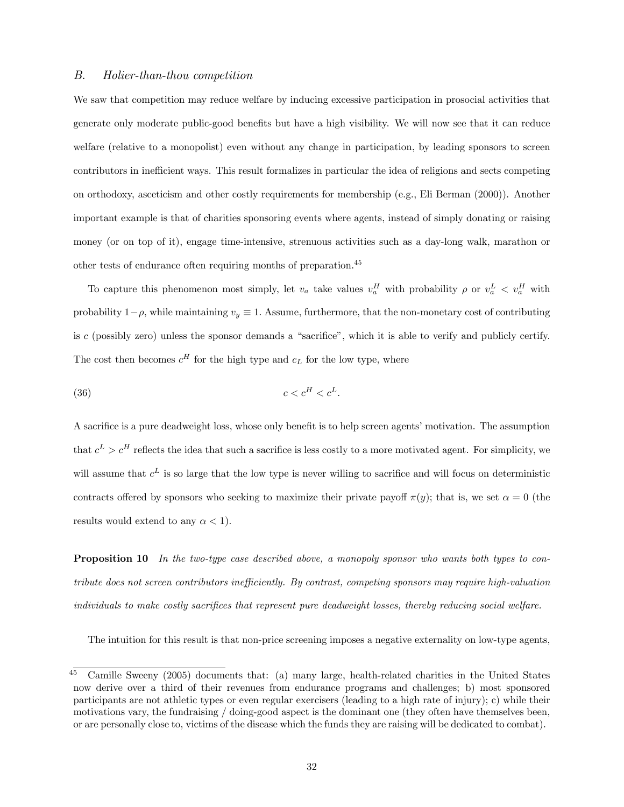#### B. Holier-than-thou competition

We saw that competition may reduce welfare by inducing excessive participation in prosocial activities that generate only moderate public-good benefits but have a high visibility. We will now see that it can reduce welfare (relative to a monopolist) even without any change in participation, by leading sponsors to screen contributors in inefficient ways. This result formalizes in particular the idea of religions and sects competing on orthodoxy, asceticism and other costly requirements for membership (e.g., Eli Berman (2000)). Another important example is that of charities sponsoring events where agents, instead of simply donating or raising money (or on top of it), engage time-intensive, strenuous activities such as a day-long walk, marathon or other tests of endurance often requiring months of preparation.45

To capture this phenomenon most simply, let  $v_a$  take values  $v_a^H$  with probability  $\rho$  or  $v_a^L < v_a^H$  with probability  $1-\rho$ , while maintaining  $v_y \equiv 1$ . Assume, furthermore, that the non-monetary cost of contributing is c (possibly zero) unless the sponsor demands a "sacrifice", which it is able to verify and publicly certify. The cost then becomes  $c^H$  for the high type and  $c_L$  for the low type, where

$$
(36) \t\t c < c^H < c^L.
$$

A sacrifice is a pure deadweight loss, whose only benefit is to help screen agents' motivation. The assumption that  $c^L > c^H$  reflects the idea that such a sacrifice is less costly to a more motivated agent. For simplicity, we will assume that  $c^L$  is so large that the low type is never willing to sacrifice and will focus on deterministic contracts offered by sponsors who seeking to maximize their private payoff  $\pi(y)$ ; that is, we set  $\alpha = 0$  (the results would extend to any  $\alpha < 1$ .

Proposition 10 In the two-type case described above, a monopoly sponsor who wants both types to contribute does not screen contributors inefficiently. By contrast, competing sponsors may require high-valuation individuals to make costly sacrifices that represent pure deadweight losses, thereby reducing social welfare.

The intuition for this result is that non-price screening imposes a negative externality on low-type agents,

<sup>&</sup>lt;sup>45</sup> Camille Sweeny (2005) documents that: (a) many large, health-related charities in the United States now derive over a third of their revenues from endurance programs and challenges; b) most sponsored participants are not athletic types or even regular exercisers (leading to a high rate of injury); c) while their motivations vary, the fundraising / doing-good aspect is the dominant one (they often have themselves been, or are personally close to, victims of the disease which the funds they are raising will be dedicated to combat).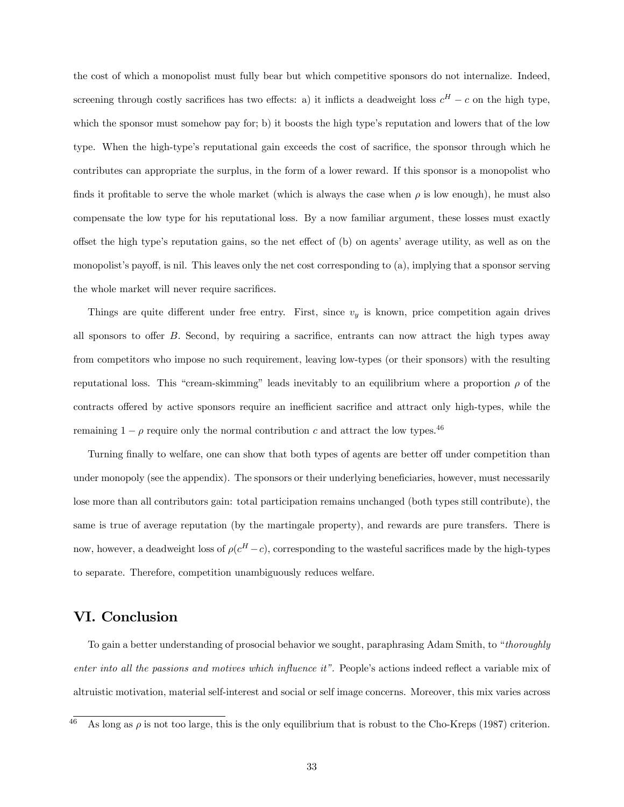the cost of which a monopolist must fully bear but which competitive sponsors do not internalize. Indeed, screening through costly sacrifices has two effects: a) it inflicts a deadweight loss  $c^H - c$  on the high type, which the sponsor must somehow pay for; b) it boosts the high type's reputation and lowers that of the low type. When the high-type's reputational gain exceeds the cost of sacrifice, the sponsor through which he contributes can appropriate the surplus, in the form of a lower reward. If this sponsor is a monopolist who finds it profitable to serve the whole market (which is always the case when  $\rho$  is low enough), he must also compensate the low type for his reputational loss. By a now familiar argument, these losses must exactly offset the high type's reputation gains, so the net effect of (b) on agents' average utility, as well as on the monopolist's payoff, is nil. This leaves only the net cost corresponding to (a), implying that a sponsor serving the whole market will never require sacrifices.

Things are quite different under free entry. First, since  $v_y$  is known, price competition again drives all sponsors to offer  $B$ . Second, by requiring a sacrifice, entrants can now attract the high types away from competitors who impose no such requirement, leaving low-types (or their sponsors) with the resulting reputational loss. This "cream-skimming" leads inevitably to an equilibrium where a proportion ρ of the contracts offered by active sponsors require an inefficient sacrifice and attract only high-types, while the remaining  $1 - \rho$  require only the normal contribution c and attract the low types.<sup>46</sup>

Turning finally to welfare, one can show that both types of agents are better off under competition than under monopoly (see the appendix). The sponsors or their underlying beneficiaries, however, must necessarily lose more than all contributors gain: total participation remains unchanged (both types still contribute), the same is true of average reputation (by the martingale property), and rewards are pure transfers. There is now, however, a deadweight loss of  $\rho(c^H - c)$ , corresponding to the wasteful sacrifices made by the high-types to separate. Therefore, competition unambiguously reduces welfare.

# VI. Conclusion

To gain a better understanding of prosocial behavior we sought, paraphrasing Adam Smith, to "thoroughly enter into all the passions and motives which influence it". People's actions indeed reflect a variable mix of altruistic motivation, material self-interest and social or self image concerns. Moreover, this mix varies across

<sup>&</sup>lt;sup>46</sup> As long as  $\rho$  is not too large, this is the only equilibrium that is robust to the Cho-Kreps (1987) criterion.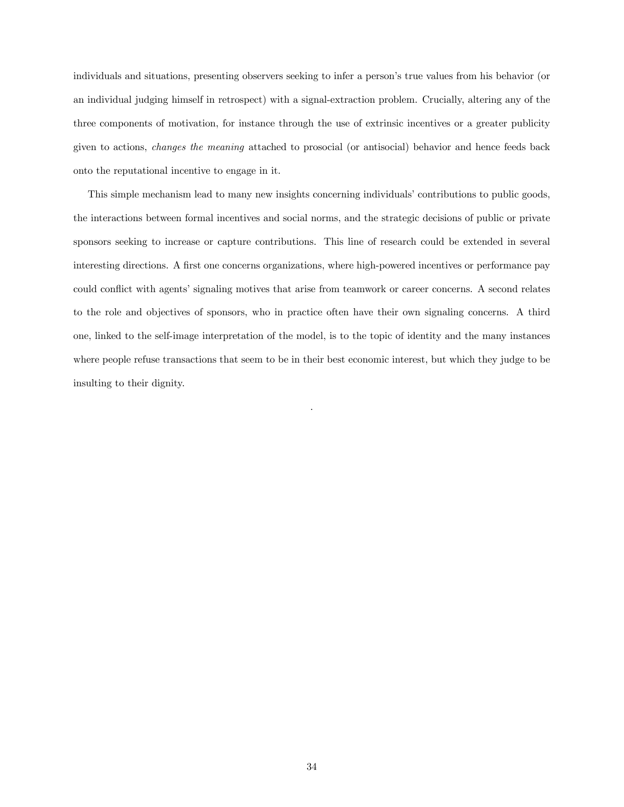individuals and situations, presenting observers seeking to infer a person's true values from his behavior (or an individual judging himself in retrospect) with a signal-extraction problem. Crucially, altering any of the three components of motivation, for instance through the use of extrinsic incentives or a greater publicity given to actions, changes the meaning attached to prosocial (or antisocial) behavior and hence feeds back onto the reputational incentive to engage in it.

This simple mechanism lead to many new insights concerning individuals' contributions to public goods, the interactions between formal incentives and social norms, and the strategic decisions of public or private sponsors seeking to increase or capture contributions. This line of research could be extended in several interesting directions. A first one concerns organizations, where high-powered incentives or performance pay could conflict with agents' signaling motives that arise from teamwork or career concerns. A second relates to the role and objectives of sponsors, who in practice often have their own signaling concerns. A third one, linked to the self-image interpretation of the model, is to the topic of identity and the many instances where people refuse transactions that seem to be in their best economic interest, but which they judge to be insulting to their dignity.

.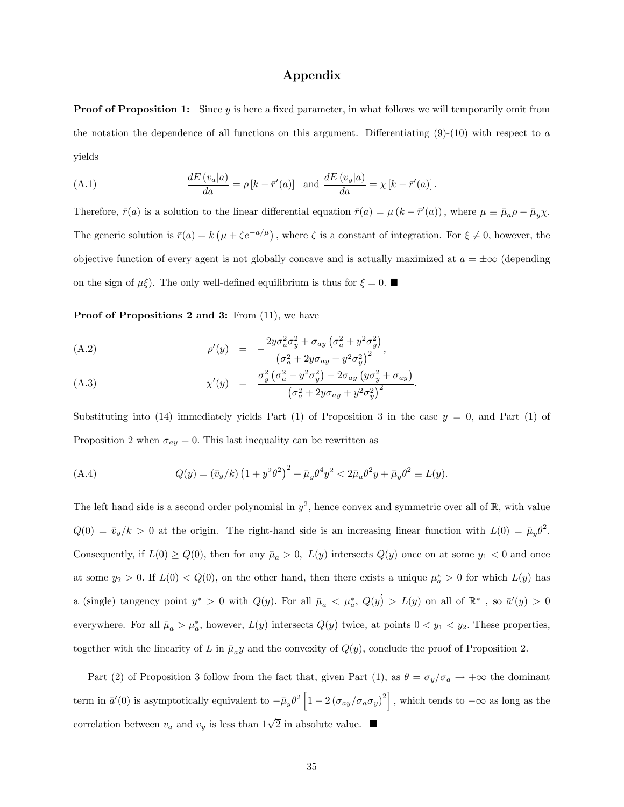### Appendix

**Proof of Proposition 1:** Since y is here a fixed parameter, in what follows we will temporarily omit from the notation the dependence of all functions on this argument. Differentiating  $(9)-(10)$  with respect to a yields

(A.1) 
$$
\frac{dE(v_a|a)}{da} = \rho [k - \bar{r}'(a)] \text{ and } \frac{dE(v_y|a)}{da} = \chi [k - \bar{r}'(a)].
$$

Therefore,  $\bar{r}(a)$  is a solution to the linear differential equation  $\bar{r}(a) = \mu (k - \bar{r}'(a))$ , where  $\mu \equiv \bar{\mu}_a \rho - \bar{\mu}_y \chi$ . The generic solution is  $\bar{r}(a) = k(\mu + \zeta e^{-a/\mu})$ , where  $\zeta$  is a constant of integration. For  $\xi \neq 0$ , however, the objective function of every agent is not globally concave and is actually maximized at  $a = \pm \infty$  (depending on the sign of  $\mu \xi$ ). The only well-defined equilibrium is thus for  $\xi = 0$ .

Proof of Propositions 2 and 3: From (11), we have

(A.2) 
$$
\rho'(y) = -\frac{2y\sigma_a^2\sigma_y^2 + \sigma_{ay}(\sigma_a^2 + y^2\sigma_y^2)}{(\sigma_a^2 + 2y\sigma_{ay} + y^2\sigma_y^2)^2},
$$

(A.3) 
$$
\chi'(y) = \frac{\sigma_y^2 (\sigma_a^2 - y^2 \sigma_y^2) - 2\sigma_{ay} (y\sigma_y^2 + \sigma_{ay})}{(\sigma_a^2 + 2y\sigma_{ay} + y^2 \sigma_y^2)^2}.
$$

Substituting into (14) immediately yields Part (1) of Proposition 3 in the case  $y = 0$ , and Part (1) of Proposition 2 when  $\sigma_{ay} = 0$ . This last inequality can be rewritten as

(A.4) 
$$
Q(y) = (\bar{v}_y/k) (1 + y^2 \theta^2)^2 + \bar{\mu}_y \theta^4 y^2 < 2\bar{\mu}_a \theta^2 y + \bar{\mu}_y \theta^2 \equiv L(y).
$$

The left hand side is a second order polynomial in  $y^2$ , hence convex and symmetric over all of R, with value  $Q(0) = \bar{v}_y/k > 0$  at the origin. The right-hand side is an increasing linear function with  $L(0) = \bar{\mu}_y \theta^2$ . Consequently, if  $L(0) \ge Q(0)$ , then for any  $\bar{\mu}_a > 0$ ,  $L(y)$  intersects  $Q(y)$  once on at some  $y_1 < 0$  and once at some  $y_2 > 0$ . If  $L(0) < Q(0)$ , on the other hand, then there exists a unique  $\mu_a^* > 0$  for which  $L(y)$  has a (single) tangency point  $y^* > 0$  with  $Q(y)$ . For all  $\bar{\mu}_a < \mu_a^*$ ,  $Q(y) > L(y)$  on all of  $\mathbb{R}^*$ , so  $\bar{a}'(y) > 0$ everywhere. For all  $\bar{\mu}_a > \mu_a^*$ , however,  $L(y)$  intersects  $Q(y)$  twice, at points  $0 < y_1 < y_2$ . These properties, together with the linearity of L in  $\bar{\mu}_a y$  and the convexity of  $Q(y)$ , conclude the proof of Proposition 2.

Part (2) of Proposition 3 follow from the fact that, given Part (1), as  $\theta = \sigma_y/\sigma_a \rightarrow +\infty$  the dominant term in  $\bar{a}'(0)$  is asymptotically equivalent to  $-\bar{\mu}_y\theta^2\left[1-2(\sigma_{ay}/\sigma_a\sigma_y)^2\right]$ , which tends to  $-\infty$  as long as the correlation between  $v_a$  and  $v_y$  is less than  $1\sqrt{2}$  in absolute value.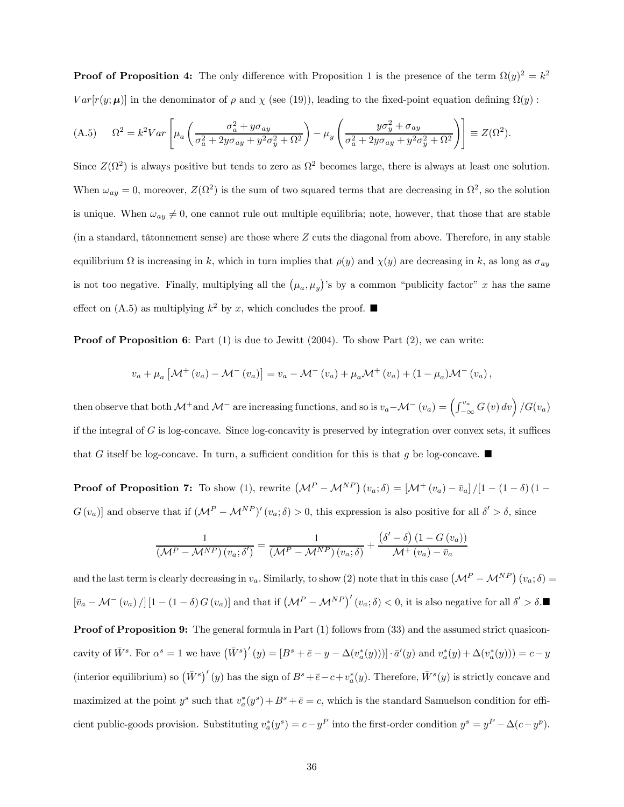**Proof of Proposition 4:** The only difference with Proposition 1 is the presence of the term  $\Omega(y)^2 = k^2$  $Var[r(y; \mu)]$  in the denominator of  $\rho$  and  $\chi$  (see (19)), leading to the fixed-point equation defining  $\Omega(y)$ :

(A.5) 
$$
\Omega^2 = k^2 Var \left[ \mu_a \left( \frac{\sigma_a^2 + y \sigma_{ay}}{\sigma_a^2 + 2y \sigma_{ay} + y^2 \sigma_y^2 + \Omega^2} \right) - \mu_y \left( \frac{y \sigma_y^2 + \sigma_{ay}}{\sigma_a^2 + 2y \sigma_{ay} + y^2 \sigma_y^2 + \Omega^2} \right) \right] \equiv Z(\Omega^2).
$$

Since  $Z(\Omega^2)$  is always positive but tends to zero as  $\Omega^2$  becomes large, there is always at least one solution. When  $\omega_{ay} = 0$ , moreover,  $Z(\Omega^2)$  is the sum of two squared terms that are decreasing in  $\Omega^2$ , so the solution is unique. When  $\omega_{ay} \neq 0$ , one cannot rule out multiple equilibria; note, however, that those that are stable (in a standard, tâtonnement sense) are those where Z cuts the diagonal from above. Therefore, in any stable equilibrium  $\Omega$  is increasing in k, which in turn implies that  $\rho(y)$  and  $\chi(y)$  are decreasing in k, as long as  $\sigma_{ay}$ is not too negative. Finally, multiplying all the  $(\mu_a, \mu_y)$ 's by a common "publicity factor" x has the same effect on (A.5) as multiplying  $k^2$  by x, which concludes the proof.  $\blacksquare$ 

**Proof of Proposition 6:** Part  $(1)$  is due to Jewitt  $(2004)$ . To show Part  $(2)$ , we can write:

$$
v_a + \mu_a [\mathcal{M}^+(v_a) - \mathcal{M}^-(v_a)] = v_a - \mathcal{M}^-(v_a) + \mu_a \mathcal{M}^+(v_a) + (1 - \mu_a) \mathcal{M}^-(v_a) ,
$$

then observe that both  $\mathcal{M}^+$  and  $\mathcal{M}^-$  are increasing functions, and so is  $v_a - \mathcal{M}^ (v_a) = \left(\int_{-\infty}^{v_a} G(v) dv\right)/G(v_a)$ if the integral of  $G$  is log-concave. Since log-concavity is preserved by integration over convex sets, it suffices that G itself be log-concave. In turn, a sufficient condition for this is that g be log-concave.

**Proof of Proposition 7:** To show (1), rewrite  $(\mathcal{M}^P - \mathcal{M}^{NP}) (v_a; \delta) = [\mathcal{M}^+ (v_a) - \bar{v}_a]/[1 - (1 - \delta)(1 G(v_a)$ ] and observe that if  $(M^P - M^{NP})'(v_a; \delta) > 0$ , this expression is also positive for all  $\delta' > \delta$ , since

$$
\frac{1}{\left(\mathcal{M}^P - \mathcal{M}^{NP}\right)\left(v_a; \delta'\right)} = \frac{1}{\left(\mathcal{M}^P - \mathcal{M}^{NP}\right)\left(v_a; \delta\right)} + \frac{\left(\delta' - \delta\right)\left(1 - G\left(v_a\right)\right)}{\mathcal{M}^+\left(v_a\right) - \bar{v}_a}
$$

and the last term is clearly decreasing in  $v_a$ . Similarly, to show (2) note that in this case  $(\mathcal{M}^P - \mathcal{M}^{NP}) (v_a; \delta) =$  $[\bar{v}_a - \mathcal{M}^-(v_a)] [1 - (1 - \delta) G (v_a)]$  and that if  $(\mathcal{M}^P - \mathcal{M}^{NP})' (v_a; \delta) < 0$ , it is also negative for all  $\delta' > \delta$ .

**Proof of Proposition 9:** The general formula in Part (1) follows from (33) and the assumed strict quasiconcavity of  $\bar{W}^s$ . For  $\alpha^s = 1$  we have  $(\bar{W}^s)'(y) = [B^s + \bar{e} - y - \Delta(v_a^*(y))] \cdot \bar{a}'(y)$  and  $v_a^*(y) + \Delta(v_a^*(y))) = c - y$ (interior equilibrium) so  $(\bar{W}^s)'(y)$  has the sign of  $B^s + \bar{e} - c + v_a^*(y)$ . Therefore,  $\bar{W}^s(y)$  is strictly concave and maximized at the point  $y^s$  such that  $v_a^*(y^s) + B^s + \bar{e} = c$ , which is the standard Samuelson condition for efficient public-goods provision. Substituting  $v_a^*(y^s) = c - y^P$  into the first-order condition  $y^s = y^P - \Delta(c - y^P)$ .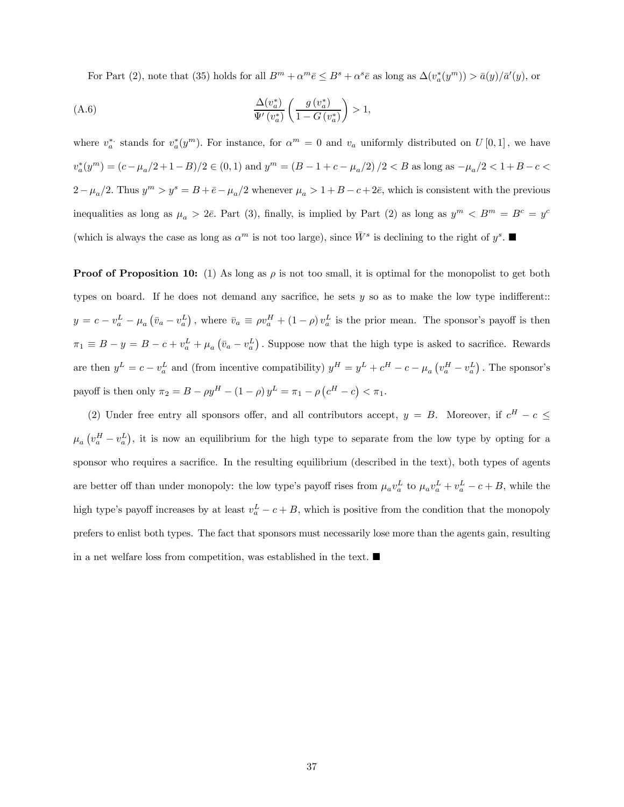For Part (2), note that (35) holds for all  $B^m + \alpha^m \bar{e} \leq B^s + \alpha^s \bar{e}$  as long as  $\Delta(v_a^*(y^m)) > \bar{a}(y)/\bar{a}'(y)$ , or

(A.6) 
$$
\frac{\Delta(v_a^*)}{\Psi'(v_a^*)}\left(\frac{g(v_a^*)}{1-G(v_a^*)}\right) > 1,
$$

where  $v_a^*$  stands for  $v_a^*(y^m)$ . For instance, for  $\alpha^m = 0$  and  $v_a$  uniformly distributed on  $U[0,1]$ , we have  $v_a^*(y^m) = (c - \mu_a/2 + 1 - B)/2 \in (0, 1)$  and  $y^m = (B - 1 + c - \mu_a/2)/2 < B$  as long as  $-\mu_a/2 < 1 + B - c <$  $2 - \mu_a/2$ . Thus  $y^m > y^s = B + \bar{e} - \mu_a/2$  whenever  $\mu_a > 1 + B - c + 2\bar{e}$ , which is consistent with the previous inequalities as long as  $\mu_a > 2\bar{e}$ . Part (3), finally, is implied by Part (2) as long as  $y^m < B^m = B^c = y^c$ (which is always the case as long as  $\alpha^m$  is not too large), since  $\bar{W}^s$  is declining to the right of  $y^s$ .

**Proof of Proposition 10:** (1) As long as  $\rho$  is not too small, it is optimal for the monopolist to get both types on board. If he does not demand any sacrifice, he sets  $y$  so as to make the low type indifferent::  $y = c - v_a^L - \mu_a \left(\bar{v}_a - v_a^L\right)$ , where  $\bar{v}_a \equiv \rho v_a^H + (1 - \rho) v_a^L$  is the prior mean. The sponsor's payoff is then  $\pi_1 \equiv B - y = B - c + v_a^L + \mu_a \left(\bar{v}_a - v_a^L\right)$ . Suppose now that the high type is asked to sacrifice. Rewards are then  $y^L = c - v_a^L$  and (from incentive compatibility)  $y^H = y^L + c^H - c - \mu_a (v_a^H - v_a^L)$ . The sponsor's payoff is then only  $\pi_2 = B - \rho y^H - (1 - \rho) y^L = \pi_1 - \rho (c^H - c) < \pi_1$ .

(2) Under free entry all sponsors offer, and all contributors accept,  $y = B$ . Moreover, if  $c^H - c \leq$  $\mu_a \left( v_a^H - v_a^L \right)$ , it is now an equilibrium for the high type to separate from the low type by opting for a sponsor who requires a sacrifice. In the resulting equilibrium (described in the text), both types of agents are better off than under monopoly: the low type's payoff rises from  $\mu_a v_a^L$  to  $\mu_a v_a^L + v_a^L - c + B$ , while the high type's payoff increases by at least  $v_a^L - c + B$ , which is positive from the condition that the monopoly prefers to enlist both types. The fact that sponsors must necessarily lose more than the agents gain, resulting in a net welfare loss from competition, was established in the text.  $\blacksquare$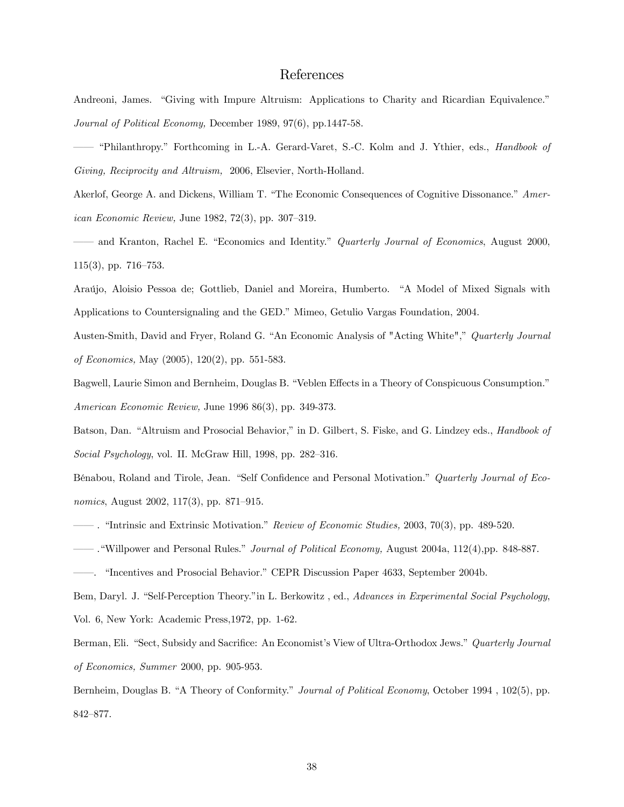# References

- Andreoni, James. "Giving with Impure Altruism: Applications to Charity and Ricardian Equivalence." Journal of Political Economy, December 1989, 97(6), pp.1447-58.
- –– "Philanthropy." Forthcoming in L.-A. Gerard-Varet, S.-C. Kolm and J. Ythier, eds., Handbook of Giving, Reciprocity and Altruism, 2006, Elsevier, North-Holland.
- Akerlof, George A. and Dickens, William T. "The Economic Consequences of Cognitive Dissonance." American Economic Review, June 1982, 72(3), pp. 307—319.
- —— and Kranton, Rachel E. "Economics and Identity." Quarterly Journal of Economics, August 2000, 115(3), pp. 716—753.
- Araújo, Aloisio Pessoa de; Gottlieb, Daniel and Moreira, Humberto. "A Model of Mixed Signals with Applications to Countersignaling and the GED." Mimeo, Getulio Vargas Foundation, 2004.
- Austen-Smith, David and Fryer, Roland G. "An Economic Analysis of "Acting White"," Quarterly Journal of Economics, May (2005), 120(2), pp. 551-583.
- Bagwell, Laurie Simon and Bernheim, Douglas B. "Veblen Effects in a Theory of Conspicuous Consumption." American Economic Review, June 1996 86(3), pp. 349-373.
- Batson, Dan. "Altruism and Prosocial Behavior," in D. Gilbert, S. Fiske, and G. Lindzey eds., Handbook of Social Psychology, vol. II. McGraw Hill, 1998, pp. 282—316.
- Bénabou, Roland and Tirole, Jean. "Self Confidence and Personal Motivation." Quarterly Journal of Economics, August 2002, 117(3), pp. 871—915.
- –– . "Intrinsic and Extrinsic Motivation." Review of Economic Studies, 2003, 70(3), pp. 489-520.
- –– ."Willpower and Personal Rules." Journal of Political Economy, August 2004a, 112(4),pp. 848-887.
- ––. "Incentives and Prosocial Behavior." CEPR Discussion Paper 4633, September 2004b.
- Bem, Daryl. J. "Self-Perception Theory."in L. Berkowitz , ed., Advances in Experimental Social Psychology, Vol. 6, New York: Academic Press,1972, pp. 1-62.
- Berman, Eli. "Sect, Subsidy and Sacrifice: An Economist's View of Ultra-Orthodox Jews." Quarterly Journal of Economics, Summer 2000, pp. 905-953.
- Bernheim, Douglas B. "A Theory of Conformity." *Journal of Political Economy*, October 1994, 102(5), pp. 842—877.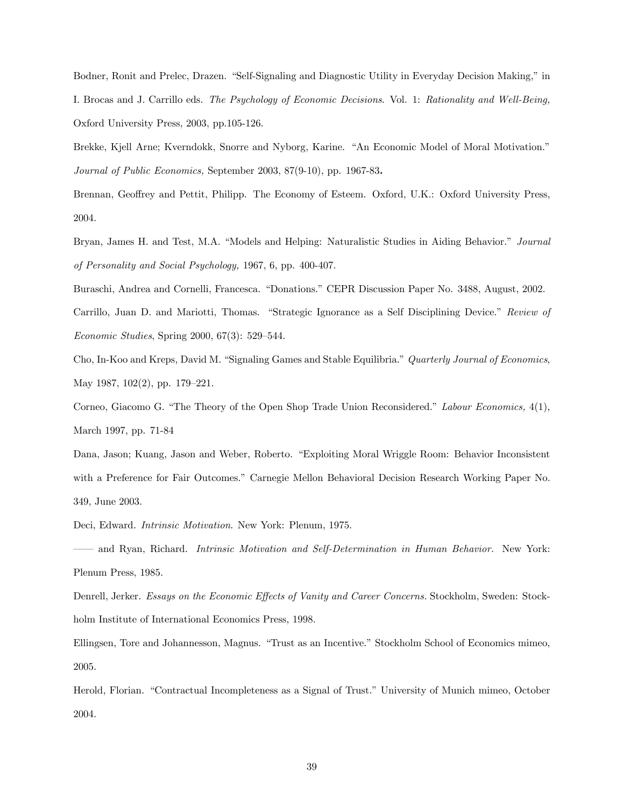Bodner, Ronit and Prelec, Drazen. "Self-Signaling and Diagnostic Utility in Everyday Decision Making," in I. Brocas and J. Carrillo eds. The Psychology of Economic Decisions. Vol. 1: Rationality and Well-Being, Oxford University Press, 2003, pp.105-126.

Brekke, Kjell Arne; Kverndokk, Snorre and Nyborg, Karine. "An Economic Model of Moral Motivation." Journal of Public Economics, September 2003, 87(9-10), pp. 1967-83.

Brennan, Geoffrey and Pettit, Philipp. The Economy of Esteem. Oxford, U.K.: Oxford University Press, 2004.

Bryan, James H. and Test, M.A. "Models and Helping: Naturalistic Studies in Aiding Behavior." Journal of Personality and Social Psychology, 1967, 6, pp. 400-407.

Buraschi, Andrea and Cornelli, Francesca. "Donations." CEPR Discussion Paper No. 3488, August, 2002.

Carrillo, Juan D. and Mariotti, Thomas. "Strategic Ignorance as a Self Disciplining Device." Review of Economic Studies, Spring 2000, 67(3): 529—544.

Cho, In-Koo and Kreps, David M. "Signaling Games and Stable Equilibria." Quarterly Journal of Economics, May 1987, 102(2), pp. 179—221.

Corneo, Giacomo G. "The Theory of the Open Shop Trade Union Reconsidered." Labour Economics, 4(1), March 1997, pp. 71-84

Dana, Jason; Kuang, Jason and Weber, Roberto. "Exploiting Moral Wriggle Room: Behavior Inconsistent with a Preference for Fair Outcomes." Carnegie Mellon Behavioral Decision Research Working Paper No. 349, June 2003.

Deci, Edward. Intrinsic Motivation. New York: Plenum, 1975.

–– and Ryan, Richard. Intrinsic Motivation and Self-Determination in Human Behavior. New York: Plenum Press, 1985.

Denrell, Jerker. Essays on the Economic Effects of Vanity and Career Concerns. Stockholm, Sweden: Stockholm Institute of International Economics Press, 1998.

Ellingsen, Tore and Johannesson, Magnus. "Trust as an Incentive." Stockholm School of Economics mimeo, 2005.

Herold, Florian. "Contractual Incompleteness as a Signal of Trust." University of Munich mimeo, October 2004.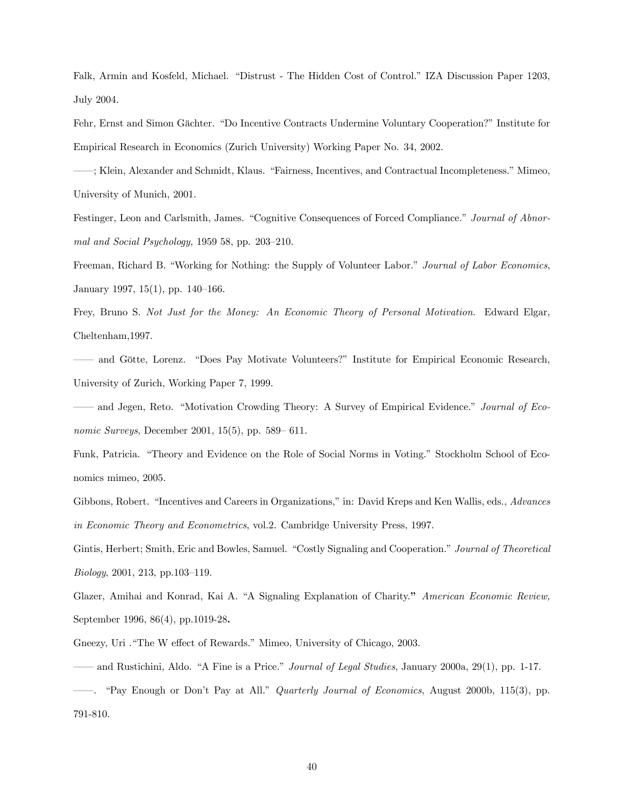Falk, Armin and Kosfeld, Michael. "Distrust - The Hidden Cost of Control." IZA Discussion Paper 1203, July 2004.

Fehr, Ernst and Simon Gächter. "Do Incentive Contracts Undermine Voluntary Cooperation?" Institute for Empirical Research in Economics (Zurich University) Working Paper No. 34, 2002.

––; Klein, Alexander and Schmidt, Klaus. "Fairness, Incentives, and Contractual Incompleteness." Mimeo, University of Munich, 2001.

Festinger, Leon and Carlsmith, James. "Cognitive Consequences of Forced Compliance." Journal of Abnormal and Social Psychology, 1959 58, pp. 203—210.

Freeman, Richard B. "Working for Nothing: the Supply of Volunteer Labor." Journal of Labor Economics, January 1997, 15(1), pp. 140—166.

Frey, Bruno S. Not Just for the Money: An Economic Theory of Personal Motivation. Edward Elgar, Cheltenham,1997.

–– and Götte, Lorenz. "Does Pay Motivate Volunteers?" Institute for Empirical Economic Research, University of Zurich, Working Paper 7, 1999.

–– and Jegen, Reto. "Motivation Crowding Theory: A Survey of Empirical Evidence." Journal of Economic Surveys, December 2001, 15(5), pp. 589— 611.

Funk, Patricia. "Theory and Evidence on the Role of Social Norms in Voting." Stockholm School of Economics mimeo, 2005.

Gibbons, Robert. "Incentives and Careers in Organizations," in: David Kreps and Ken Wallis, eds., Advances in Economic Theory and Econometrics, vol.2. Cambridge University Press, 1997.

Gintis, Herbert; Smith, Eric and Bowles, Samuel. "Costly Signaling and Cooperation." Journal of Theoretical Biology, 2001, 213, pp.103—119.

Glazer, Amihai and Konrad, Kai A. "A Signaling Explanation of Charity." American Economic Review, September 1996, 86(4), pp.1019-28.

Gneezy, Uri ."The W effect of Rewards." Mimeo, University of Chicago, 2003.

–– and Rustichini, Aldo. "A Fine is a Price." Journal of Legal Studies, January 2000a, 29(1), pp. 1-17.

––. "Pay Enough or Don't Pay at All." Quarterly Journal of Economics, August 2000b, 115(3), pp. 791-810.

40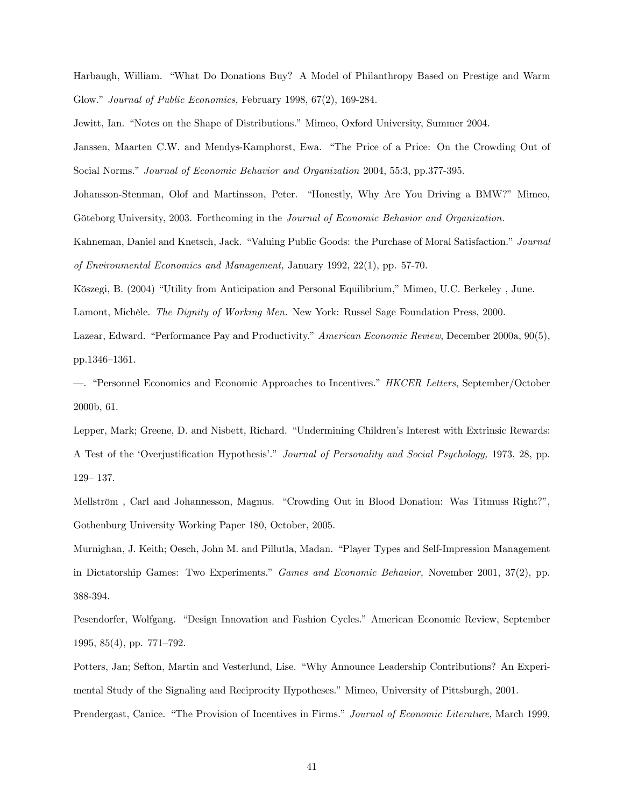Harbaugh, William. "What Do Donations Buy? A Model of Philanthropy Based on Prestige and Warm Glow." Journal of Public Economics, February 1998, 67(2), 169-284.

Jewitt, Ian. "Notes on the Shape of Distributions." Mimeo, Oxford University, Summer 2004.

Janssen, Maarten C.W. and Mendys-Kamphorst, Ewa. "The Price of a Price: On the Crowding Out of Social Norms." Journal of Economic Behavior and Organization 2004, 55:3, pp.377-395.

Johansson-Stenman, Olof and Martinsson, Peter. "Honestly, Why Are You Driving a BMW?" Mimeo, Göteborg University, 2003. Forthcoming in the Journal of Economic Behavior and Organization.

Kahneman, Daniel and Knetsch, Jack. "Valuing Public Goods: the Purchase of Moral Satisfaction." Journal of Environmental Economics and Management, January 1992, 22(1), pp. 57-70.

Köszegi, B. (2004) "Utility from Anticipation and Personal Equilibrium," Mimeo, U.C. Berkeley , June.

Lamont, Michèle. The Dignity of Working Men. New York: Russel Sage Foundation Press, 2000.

Lazear, Edward. "Performance Pay and Productivity." American Economic Review, December 2000a, 90(5), pp.1346—1361.

–. "Personnel Economics and Economic Approaches to Incentives." HKCER Letters, September/October 2000b, 61.

Lepper, Mark; Greene, D. and Nisbett, Richard. "Undermining Children's Interest with Extrinsic Rewards: A Test of the 'Overjustification Hypothesis'." Journal of Personality and Social Psychology, 1973, 28, pp. 129— 137.

Mellström , Carl and Johannesson, Magnus. "Crowding Out in Blood Donation: Was Titmuss Right?", Gothenburg University Working Paper 180, October, 2005.

Murnighan, J. Keith; Oesch, John M. and Pillutla, Madan. "Player Types and Self-Impression Management in Dictatorship Games: Two Experiments." Games and Economic Behavior, November 2001, 37(2), pp. 388-394.

Pesendorfer, Wolfgang. "Design Innovation and Fashion Cycles." American Economic Review, September 1995, 85(4), pp. 771—792.

Potters, Jan; Sefton, Martin and Vesterlund, Lise. "Why Announce Leadership Contributions? An Experimental Study of the Signaling and Reciprocity Hypotheses." Mimeo, University of Pittsburgh, 2001. Prendergast, Canice. "The Provision of Incentives in Firms." Journal of Economic Literature, March 1999,